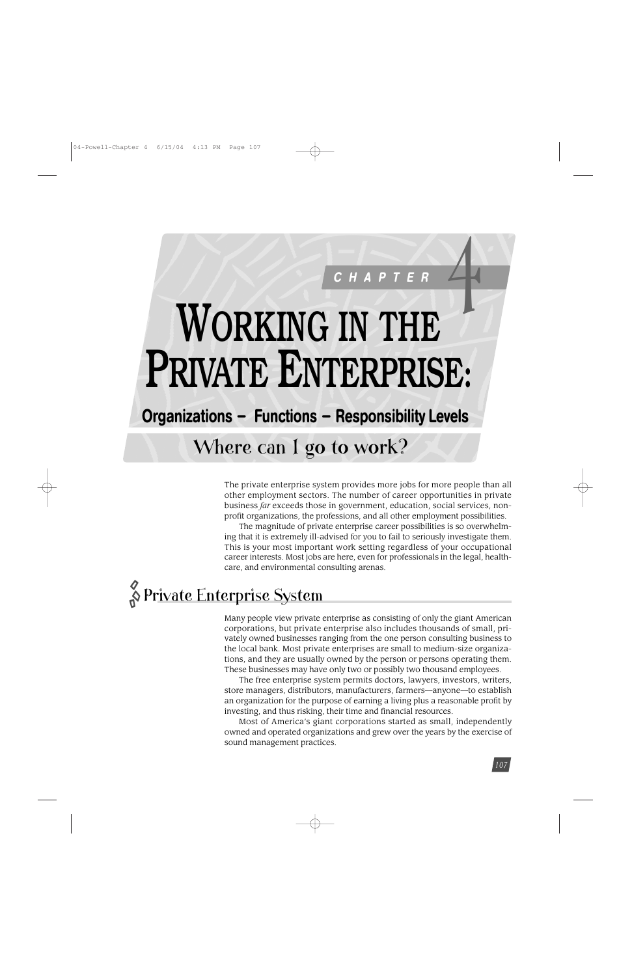The private enterprise system provides more jobs for more people than all other employment sectors. The number of career opportunities in private business *far* exceeds those in government, education, social services, nonprofit organizations, the professions, and all other employment possibilities.

The magnitude of private enterprise career possibilities is so overwhelming that it is extremely ill-advised for you to fail to seriously investigate them. This is your most important work setting regardless of your occupational career interests. Most jobs are here, even for professionals in the legal, healthcare, and environmental consulting arenas.

# Private Enterprise System

# WORKING IN THE PRIVATE ENTERPRISE:

Many people view private enterprise as consisting of only the giant American corporations, but private enterprise also includes thousands of small, privately owned businesses ranging from the one person consulting business to the local bank. Most private enterprises are small to medium-size organizations, and they are usually owned by the person or persons operating them. These businesses may have only two or possibly two thousand employees.

The free enterprise system permits doctors, lawyers, investors, writers, store managers, distributors, manufacturers, farmers—anyone—to establish an organization for the purpose of earning a living plus a reasonable profit by investing, and thus risking, their time and financial resources.

Most of America's giant corporations started as small, independently owned and operated organizations and grew over the years by the exercise of sound management practices.

107

**C HAPTER**

# **Organizations — Functions — Responsibility Levels**

# Where can I go to work?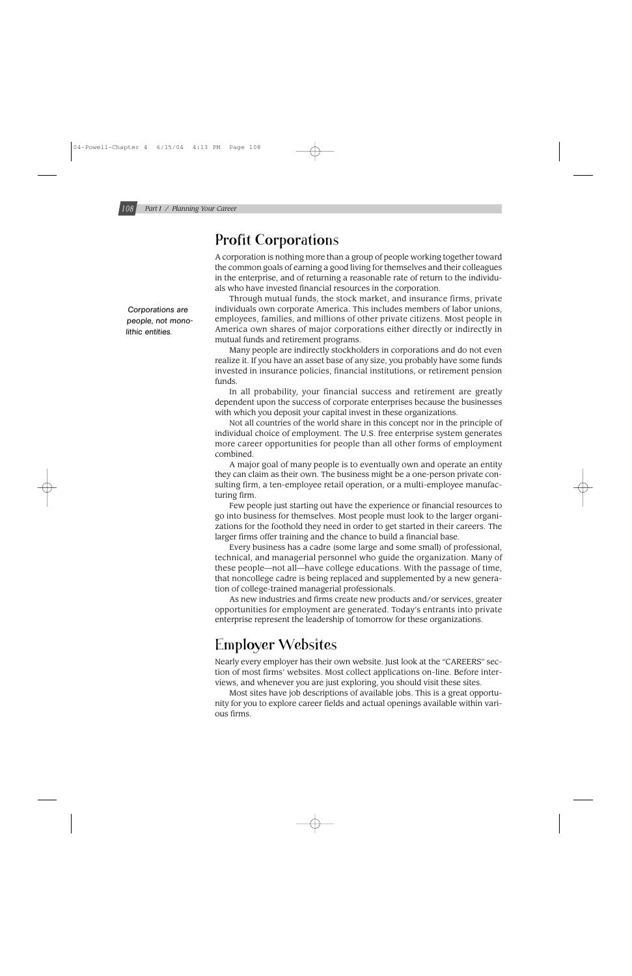### Profit Corporations

A corporation is nothing more than a group of people working together toward the common goals of earning a good living for themselves and their colleagues in the enterprise, and of returning a reasonable rate of return to the individuals who have invested financial resources in the corporation.

Through mutual funds, the stock market, and insurance firms, private individuals own corporate America. This includes members of labor unions, employees, families, and millions of other private citizens. Most people in America own shares of major corporations either directly or indirectly in mutual funds and retirement programs.

Many people are indirectly stockholders in corporations and do not even realize it. If you have an asset base of any size, you probably have some funds invested in insurance policies, financial institutions, or retirement pension funds.

In all probability, your financial success and retirement are greatly dependent upon the success of corporate enterprises because the businesses with which you deposit your capital invest in these organizations.

Not all countries of the world share in this concept nor in the principle of individual choice of employment. The U.S. free enterprise system generates more career opportunities for people than all other forms of employment combined.

*Part I / Planning Your Career* 108

A major goal of many people is to eventually own and operate an entity they can claim as their own. The business might be a one-person private consulting firm, a ten-employee retail operation, or a multi-employee manufacturing firm.

Few people just starting out have the experience or financial resources to go into business for themselves. Most people must look to the larger organizations for the foothold they need in order to get started in their careers. The larger firms offer training and the chance to build a financial base.

Every business has a cadre (some large and some small) of professional, technical, and managerial personnel who guide the organization. Many of these people—not all—have college educations. With the passage of time, that noncollege cadre is being replaced and supplemented by a new generation of college-trained managerial professionals.

As new industries and firms create new products and/or services, greater opportunities for employment are generated. Today's entrants into private enterprise represent the leadership of tomorrow for these organizations.

# Employer Websites

Nearly every employer has their own website. Just look at the "CAREERS" section of most firms' websites. Most collect applications on-line. Before interviews, and whenever you are just exploring, you should visit these sites.

Most sites have job descriptions of available jobs. This is a great opportunity for you to explore career fields and actual openings available within various firms.

 $\overline{\Leftrightarrow}$ 

Corporations are people, not monolithic entities.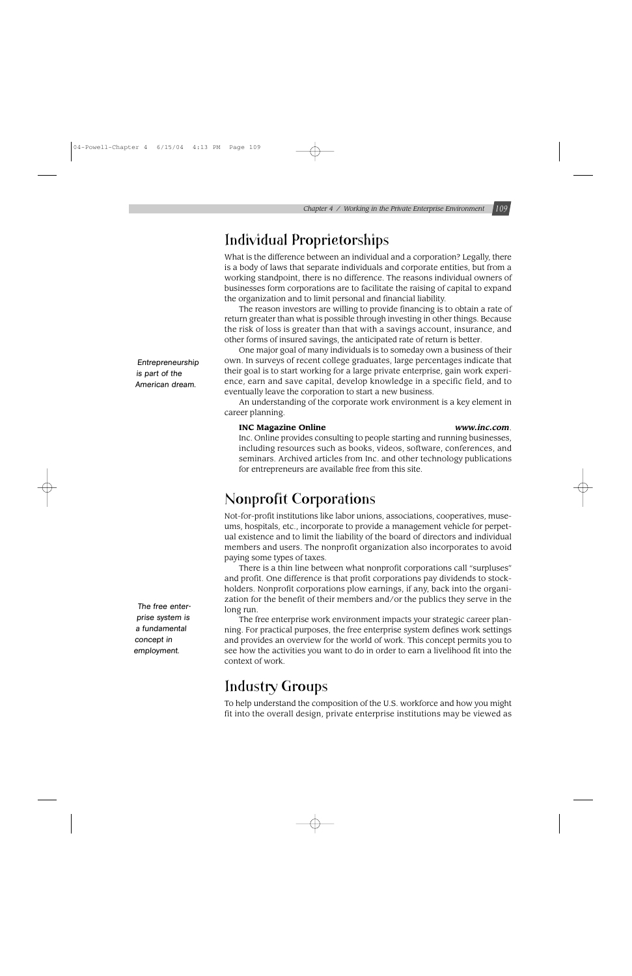# Individual Proprietorships

What is the difference between an individual and a corporation? Legally, there is a body of laws that separate individuals and corporate entities, but from a working standpoint, there is no difference. The reasons individual owners of businesses form corporations are to facilitate the raising of capital to expand the organization and to limit personal and financial liability.

The reason investors are willing to provide financing is to obtain a rate of return greater than what is possible through investing in other things. Because the risk of loss is greater than that with a savings account, insurance, and other forms of insured savings, the anticipated rate of return is better.

One major goal of many individuals is to someday own a business of their own. In surveys of recent college graduates, large percentages indicate that their goal is to start working for a large private enterprise, gain work experience, earn and save capital, develop knowledge in a specific field, and to eventually leave the corporation to start a new business.

An understanding of the corporate work environment is a key element in career planning.

#### **INC Magazine Online** *www.inc.com*.

To help understand the composition of the U.S. workforce and how you might fit into the overall design, private enterprise institutions may be viewed as  $\Rightarrow$ 

Inc. Online provides consulting to people starting and running businesses, including resources such as books, videos, software, conferences, and seminars. Archived articles from Inc. and other technology publications for entrepreneurs are available free from this site.

### Nonprofit Corporations

Not-for-profit institutions like labor unions, associations, cooperatives, museums, hospitals, etc., incorporate to provide a management vehicle for perpetual existence and to limit the liability of the board of directors and individual members and users. The nonprofit organization also incorporates to avoid paying some types of taxes.

There is a thin line between what nonprofit corporations call "surpluses" and profit. One difference is that profit corporations pay dividends to stockholders. Nonprofit corporations plow earnings, if any, back into the organization for the benefit of their members and/or the publics they serve in the long run.

The free enterprise work environment impacts your strategic career planning. For practical purposes, the free enterprise system defines work settings and provides an overview for the world of work. This concept permits you to see how the activities you want to do in order to earn a livelihood fit into the context of work.

## Industry Groups

*Chapter 4 / Working in the Private Enterprise Environment* 109

Entrepreneurship is part of the American dream.

The free enterprise system is a fundamental concept in employment.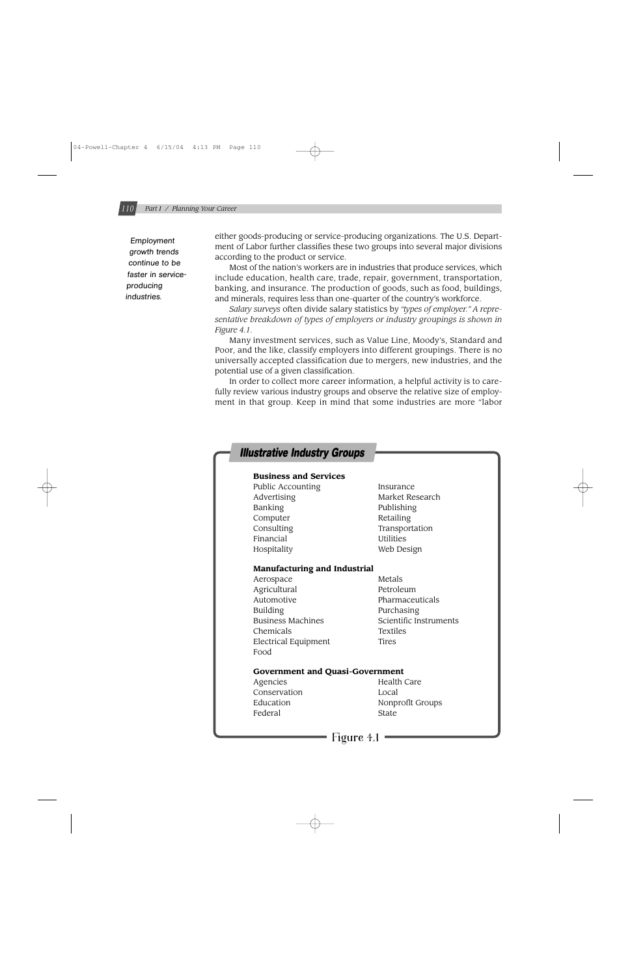either goods-producing or service-producing organizations. The U.S. Department of Labor further classifies these two groups into several major divisions according to the product or service.

Most of the nation's workers are in industries that produce services, which include education, health care, trade, repair, government, transportation, banking, and insurance. The production of goods, such as food, buildings, and minerals, requires less than one-quarter of the country's workforce.

### **Illustrative Industry Groups Business and Services** Public Accounting **Insurance** Advertising Market Research Banking **Publishing** Computer **Retailing** Consulting Transportation Financial Utilities Hospitality Web Design **Manufacturing and Industrial** Aerospace Metals Agricultural Petroleum Automotive **Pharmaceuticals** Building **Purchasing** Business Machines Scientific Instruments Chemicals Textiles Electrical Equipment Tires Food **Government and Quasi-Government** Agencies Health Care Conservation Local Education Nonproflt Groups<br>
Federal State State

*Salary surveys* often divide salary statistics by *"types of employer." A representative breakdown of types of employers or industry groupings is shown in Figure 4.1.*

Many investment services, such as Value Line, Moody's, Standard and Poor, and the like, classify employers into different groupings. There is no universally accepted classification due to mergers, new industries, and the potential use of a given classification.

In order to collect more career information, a helpful activity is to carefully review various industry groups and observe the relative size of employment in that group. Keep in mind that some industries are more "labor







Federal

Employment growth trends continue to be faster in serviceproducing industries.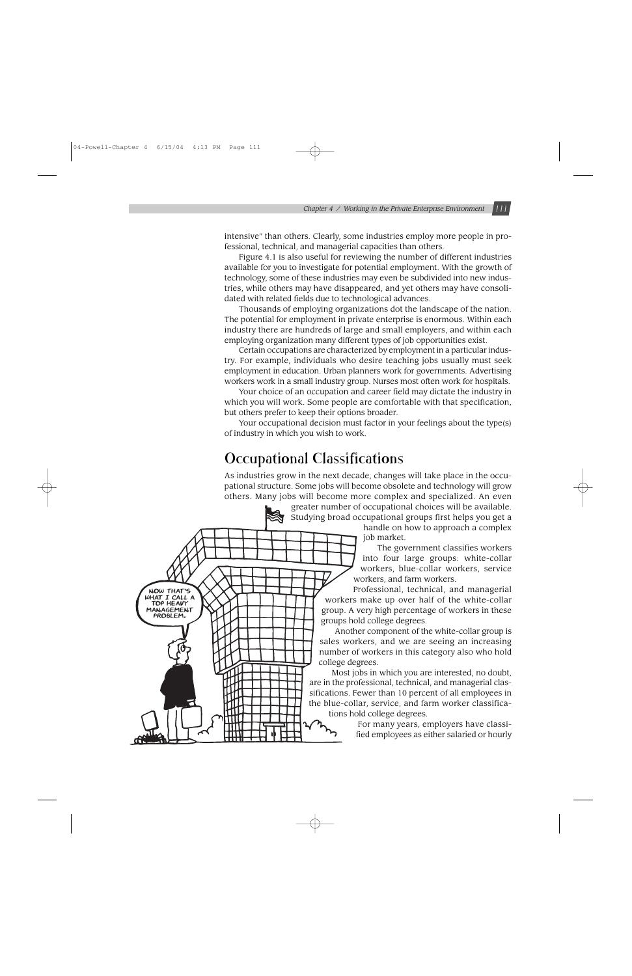intensive" than others. Clearly, some industries employ more people in professional, technical, and managerial capacities than others.

Figure 4.1 is also useful for reviewing the number of different industries available for you to investigate for potential employment. With the growth of technology, some of these industries may even be subdivided into new industries, while others may have disappeared, and yet others may have consolidated with related fields due to technological advances.

Thousands of employing organizations dot the landscape of the nation. The potential for employment in private enterprise is enormous. Within each industry there are hundreds of large and small employers, and within each employing organization many different types of job opportunities exist.

Certain occupations are characterized by employment in a particular industry. For example, individuals who desire teaching jobs usually must seek employment in education. Urban planners work for governments. Advertising workers work in a small industry group. Nurses most often work for hospitals.

Your choice of an occupation and career field may dictate the industry in which you will work. Some people are comfortable with that specification, but others prefer to keep their options broader.

Your occupational decision must factor in your feelings about the type(s) of industry in which you wish to work.

### Occupational Classifications

As industries grow in the next decade, changes will take place in the occupational structure. Some jobs will become obsolete and technology will grow others. Many jobs will become more complex and specialized. An even

> greater number of occupational choices will be available. Studying broad occupational groups first helps you get a handle on how to approach a complex job market.

> > The government classifies workers into four large groups: white-collar workers, blue-collar workers, service workers, and farm workers.

Professional, technical, and managerial workers make up over half of the white-collar group. A very high percentage of workers in these groups hold college degrees.

Another component of the white-collar group is sales workers, and we are seeing an increasing number of workers in this category also who hold college degrees.

Most jobs in which you are interested, no doubt, are in the professional, technical, and managerial classifications. Fewer than 10 percent of all employees in the blue-collar, service, and farm worker classifica-

tions hold college degrees.



For many years, employers have classified employees as either salaried or hourly

#### *Chapter 4 / Working in the Private Enterprise Environment* 111

now that's what i call a top heavy management problem.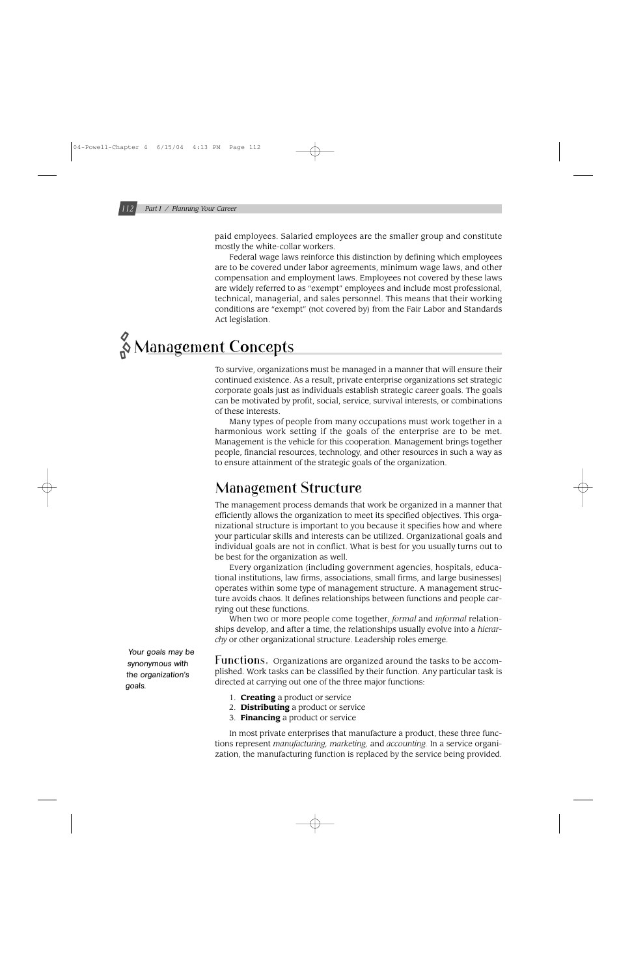paid employees. Salaried employees are the smaller group and constitute mostly the white-collar workers.

Federal wage laws reinforce this distinction by defining which employees are to be covered under labor agreements, minimum wage laws, and other compensation and employment laws. Employees not covered by these laws are widely referred to as "exempt" employees and include most professional, technical, managerial, and sales personnel. This means that their working conditions are "exempt" (not covered by) from the Fair Labor and Standards Act legislation.

# **Management Concepts**

To survive, organizations must be managed in a manner that will ensure their continued existence. As a result, private enterprise organizations set strategic corporate goals just as individuals establish strategic career goals. The goals can be motivated by profit, social, service, survival interests, or combinations of these interests.

Many types of people from many occupations must work together in a harmonious work setting if the goals of the enterprise are to be met. Management is the vehicle for this cooperation. Management brings together people, financial resources, technology, and other resources in such a way as to ensure attainment of the strategic goals of the organization.

### Management Structure

The management process demands that work be organized in a manner that efficiently allows the organization to meet its specified objectives. This organizational structure is important to you because it specifies how and where your particular skills and interests can be utilized. Organizational goals and individual goals are not in conflict. What is best for you usually turns out to be best for the organization as well.

Every organization (including government agencies, hospitals, educational institutions, law firms, associations, small firms, and large businesses) operates within some type of management structure. A management structure avoids chaos. It defines relationships between functions and people carrying out these functions.

When two or more people come together, *formal* and *informal* relationships develop, and after a time, the relationships usually evolve into a *hierarchy* or other organizational structure. Leadership roles emerge.

Functions. Organizations are organized around the tasks to be accomplished. Work tasks can be classified by their function. Any particular task is directed at carrying out one of the three major functions:

- 1. **Creating** a product or service
- 2. **Distributing** a product or service
- 

#### 3. **Financing** a product or service

In most private enterprises that manufacture a product, these three functions represent *manufacturing, marketing,* and *accounting.* In a service organization, the manufacturing function is replaced by the service being provided.

112

Your goals may be synonymous with the organization's goals.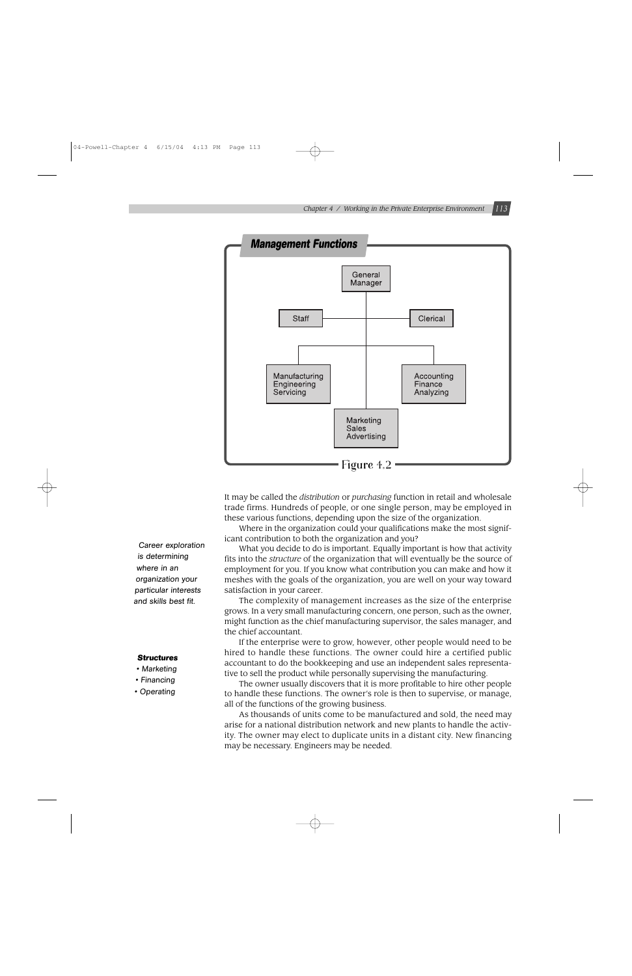It may be called the *distribution* or *purchasing* function in retail and wholesale trade firms. Hundreds of people, or one single person, may be employed in these various functions, depending upon the size of the organization.

Where in the organization could your qualifications make the most significant contribution to both the organization and you?

What you decide to do is important. Equally important is how that activity fits into the *structure* of the organization that will eventually be the source of employment for you. If you know what contribution you can make and how it meshes with the goals of the organization, you are well on your way toward satisfaction in your career.

The complexity of management increases as the size of the enterprise grows. In a very small manufacturing concern, one person, such as the owner, might function as the chief manufacturing supervisor, the sales manager, and the chief accountant.

If the enterprise were to grow, however, other people would need to be hired to handle these functions. The owner could hire a certified public accountant to do the bookkeeping and use an independent sales representative to sell the product while personally supervising the manufacturing.

The owner usually discovers that it is more profitable to hire other people to handle these functions. The owner's role is then to supervise, or manage, all of the functions of the growing business.

As thousands of units come to be manufactured and sold, the need may

arise for a national distribution network and new plants to handle the activity. The owner may elect to duplicate units in a distant city. New financing may be necessary. Engineers may be needed.

*Chapter 4 / Working in the Private Enterprise Environment* 113



### Career exploration is determining where in an organization your particular interests and skills best fit.

### **Structures**

- Marketing
- Financing
- Operating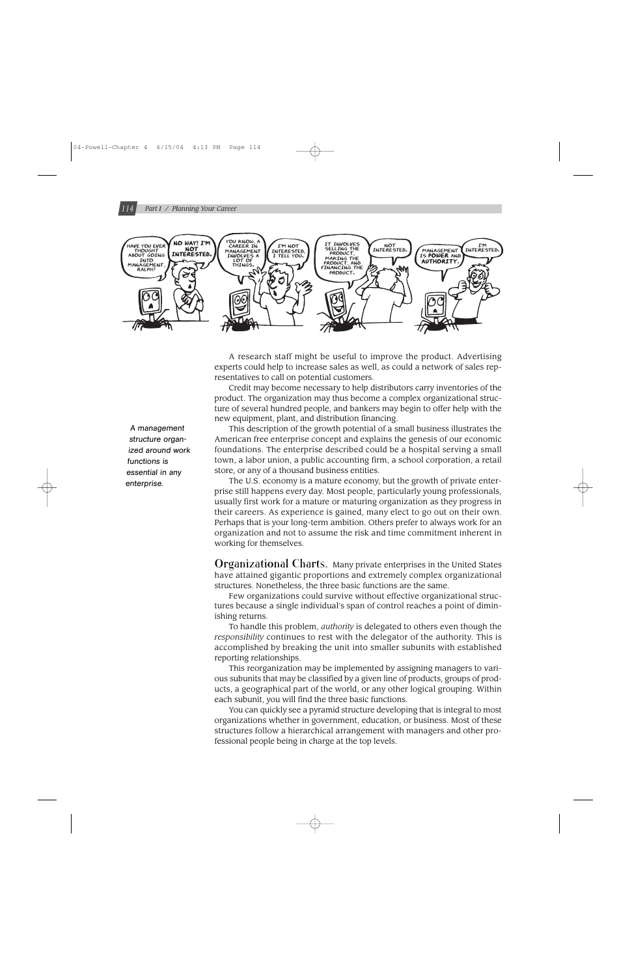A research staff might be useful to improve the product. Advertising experts could help to increase sales as well, as could a network of sales representatives to call on potential customers.

Credit may become necessary to help distributors carry inventories of the product. The organization may thus become a complex organizational structure of several hundred people, and bankers may begin to offer help with the new equipment, plant, and distribution financing.

This description of the growth potential of a small business illustrates the American free enterprise concept and explains the genesis of our economic foundations. The enterprise described could be a hospital serving a small town, a labor union, a public accounting firm, a school corporation, a retail store, or any of a thousand business entities.

**Organizational Charts.** Many private enterprises in the United States have attained gigantic proportions and extremely complex organizational structures. Nonetheless, the three basic functions are the same.

The U.S. economy is a mature economy, but the growth of private enterprise still happens every day. Most people, particularly young professionals, usually first work for a mature or maturing organization as they progress in their careers. As experience is gained, many elect to go out on their own. Perhaps that is your long-term ambition. Others prefer to always work for an organization and not to assume the risk and time commitment inherent in working for themselves.



Few organizations could survive without effective organizational structures because a single individual's span of control reaches a point of diminishing returns.

To handle this problem, *authority* is delegated to others even though the *responsibility* continues to rest with the delegator of the authority. This is accomplished by breaking the unit into smaller subunits with established reporting relationships.

This reorganization may be implemented by assigning managers to various subunits that may be classified by a given line of products, groups of products, a geographical part of the world, or any other logical grouping. Within each subunit, you will find the three basic functions.

You can quickly see a pyramid structure developing that is integral to most

organizations whether in government, education, or business. Most of these structures follow a hierarchical arrangement with managers and other professional people being in charge at the top levels.

A management structure organized around work functions is essential in any enterprise.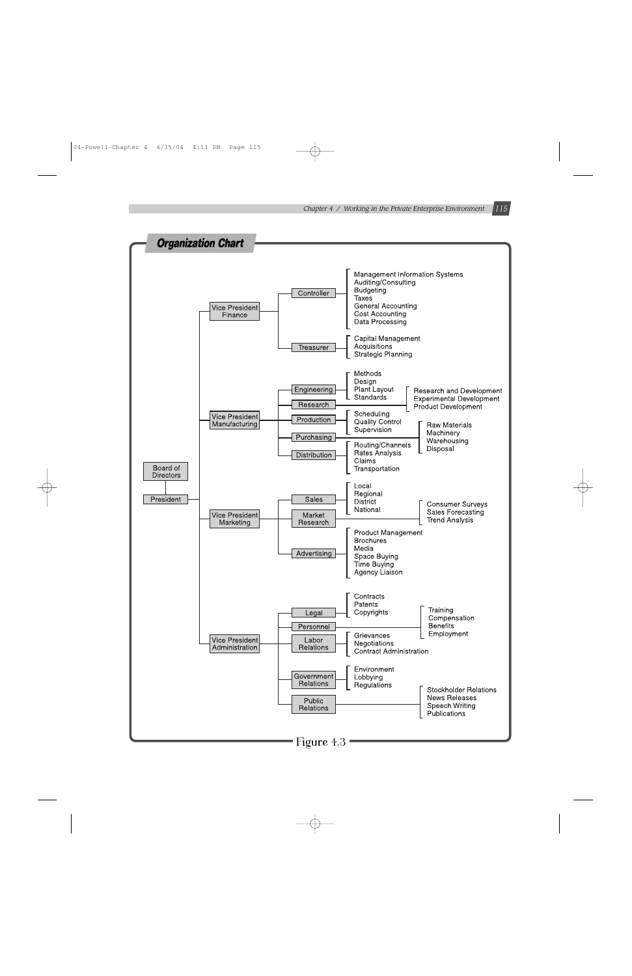

News Releases



Public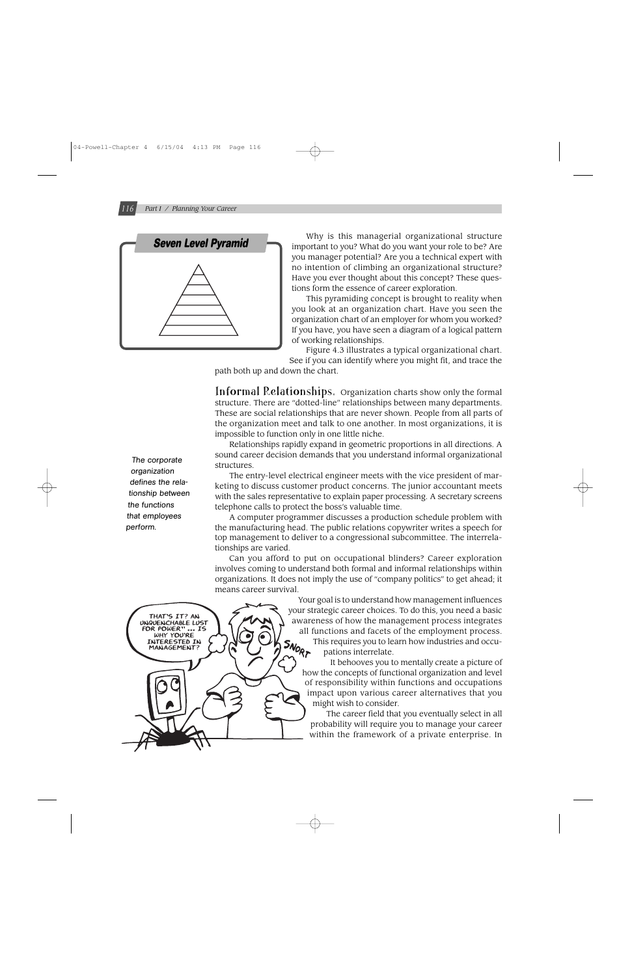Why is this managerial organizational structure important to you? What do you want your role to be? Are you manager potential? Are you a technical expert with no intention of climbing an organizational structure? Have you ever thought about this concept? These questions form the essence of career exploration.

This pyramiding concept is brought to reality when you look at an organization chart. Have you seen the organization chart of an employer for whom you worked? If you have, you have seen a diagram of a logical pattern of working relationships.

Figure 4.3 illustrates a typical organizational chart. See if you can identify where you might fit, and trace the

path both up and down the chart.

Informal Relationships. Organization charts show only the formal structure. There are "dotted-line" relationships between many departments. These are social relationships that are never shown. People from all parts of the organization meet and talk to one another. In most organizations, it is impossible to function only in one little niche.

Relationships rapidly expand in geometric proportions in all directions. A sound career decision demands that you understand informal organizational structures.

#### *Part I / Planning Your Career* 116

The entry-level electrical engineer meets with the vice president of marketing to discuss customer product concerns. The junior accountant meets with the sales representative to explain paper processing. A secretary screens telephone calls to protect the boss's valuable time.

A computer programmer discusses a production schedule problem with the manufacturing head. The public relations copywriter writes a speech for top management to deliver to a congressional subcommittee. The interrelationships are varied.

Can you afford to put on occupational blinders? Career exploration involves coming to understand both formal and informal relationships within organizations. It does not imply the use of "company politics" to get ahead; it means career survival.

> Your goal is to understand how management influences your strategic career choices. To do this, you need a basic awareness of how the management process integrates all functions and facets of the employment process.<br>**SWARED This requires you to learn how industries and occu-**<br>**SWARED INTERNATE STARK STARK STARK STARK STARK STARK STARK STARK STARK STARK STARK STARK STARK STARK STARK** This requires you to learn how industries and occupations interrelate.

It behooves you to mentally create a picture of how the concepts of functional organization and level of responsibility within functions and occupations impact upon various career alternatives that you might wish to consider.

The career field that you eventually select in all

probability will require you to manage your career within the framework of a private enterprise. In



that's it? an unquenchable lust for power" ... is why you're interested in management?



The corporate organization defines the relationship between the functions that employees perform.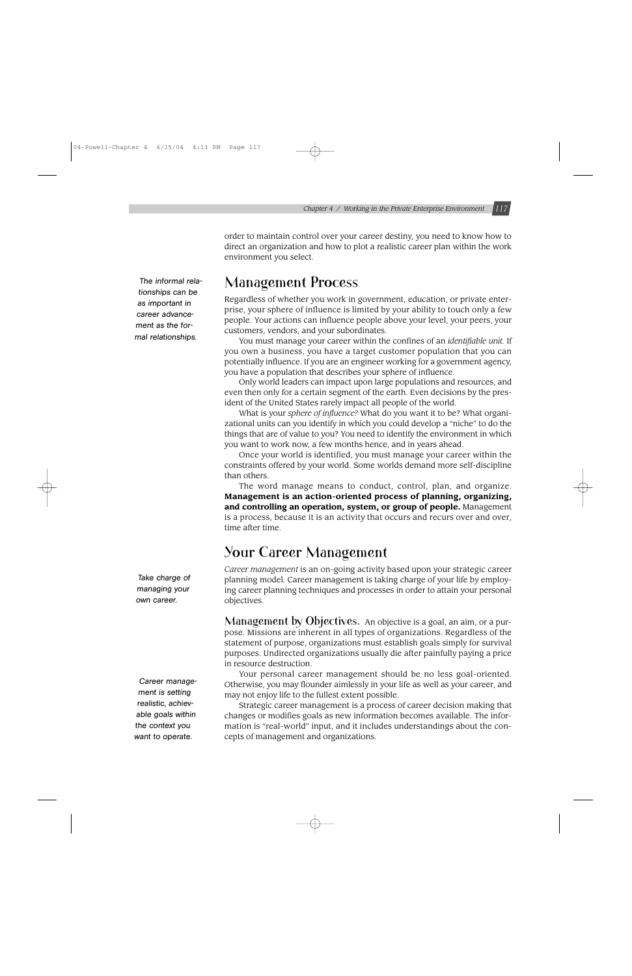order to maintain control over your career destiny, you need to know how to direct an organization and how to plot a realistic career plan within the work

environment you select.

### Management Process

Regardless of whether you work in government, education, or private enterprise, your sphere of influence is limited by your ability to touch only a few people. Your actions can influence people above your level, your peers, your customers, vendors, and your subordinates.

You must manage your career within the confines of an *identifiable unit.* If you own a business, you have a target customer population that you can potentially influence. If you are an engineer working for a government agency, you have a population that describes your sphere of influence.

Only world leaders can impact upon large populations and resources, and even then only for a certain segment of the earth. Even decisions by the president of the United States rarely impact all people of the world.

What is your *sphere of influence?* What do you want it to be? What organizational units can you identify in which you could develop a "niche" to do the things that are of value to you? You need to identify the environment in which you want to work now, a few months hence, and in years ahead.

Management by Objectives. An objective is a goal, an aim, or a purpose. Missions are inherent in all types of organizations. Regardless of the statement of purpose, organizations must establish goals simply for survival purposes. Undirected organizations usually die after painfully paying a price in resource destruction.

Once your world is identified, you must manage your career within the constraints offered by your world. Some worlds demand more self-discipline than others.

The word manage means to conduct, control, plan, and organize. **Management is an action-oriented process of planning, organizing, and controlling an operation, system, or group of people.** Management is a process, because it is an activity that occurs and recurs over and over, time after time.

### Your Career Management

*Career management* is an on-going activity based upon your strategic career planning model. Career management is taking charge of your life by employing career planning techniques and processes in order to attain your personal objectives.

Your personal career management should be no less goal-oriented. Otherwise, you may flounder aimlessly in your life as well as your career, and may not enjoy life to the fullest extent possible.

Strategic career management is a process of career decision making that anges or modifies goals as new information becomes available. The information is "real-world" input, and it includes understandings about the concepts of management and organizations.

*Chapter 4 / Working in the Private Enterprise Environment* 117

The informal relationships can be as important in career advancement as the formal relationships.

Take charge of managing your own career.

Career management is setting realistic, achievable goals within

the context you want to operate.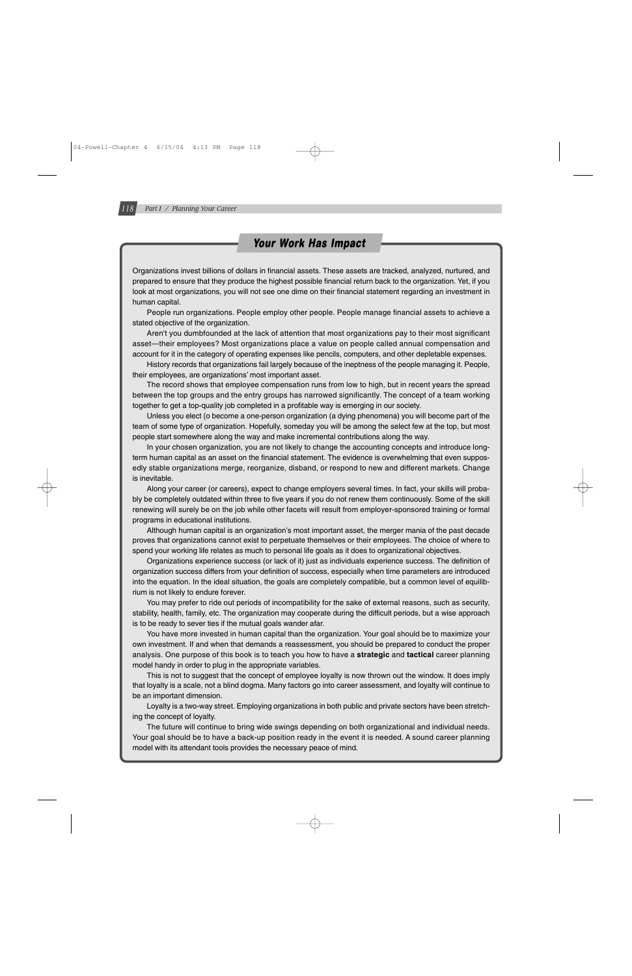Organizations invest billions of dollars in financial assets. These assets are tracked, analyzed, nurtured, and prepared to ensure that they produce the highest possible financial return back to the organization. Yet, if you look at most organizations, you will not see one dime on their financial statement regarding an investment in human capital.

People run organizations. People employ other people. People manage financial assets to achieve a stated objective of the organization.

Aren't you dumbfounded at the lack of attention that most organizations pay to their most significant asset—their employees? Most organizations place a value on people called annual compensation and account for it in the category of operating expenses like pencils, computers, and other depletable expenses.

History records that organizations fail largely because of the ineptness of the people managing it. People, their employees, are organizations' most important asset.

The record shows that employee compensation runs from low to high, but in recent years the spread between the top groups and the entry groups has narrowed significantly. The concept of a team working together to get a top-quality job completed in a profitable way is emerging in our society.

Unless you elect {o become a one-person organization (a dying phenomena) you will become part of the team of some type of organization. Hopefully, someday you will be among the select few at the top, but most people start somewhere along the way and make incremental contributions along the way.

In your chosen organization, you are not likely to change the accounting concepts and introduce longterm human capital as an asset on the financial statement. The evidence is overwhelming that even supposedly stable organizations merge, reorganize, disband, or respond to new and different markets. Change is inevitable.

Along your career (or careers), expect to change employers several times. In fact, your skills will probably be completely outdated within three to five years if you do not renew them continuously. Some of the skill renewing will surely be on the job while other facets will result from employer-sponsored training or formal programs in educational institutions.

Although human capital is an organization's most important asset, the merger mania of the past decade proves that organizations cannot exist to perpetuate themselves or their employees. The choice of where to spend your working life relates as much to personal life goals as it does to organizational objectives.

Organizations experience success (or lack of it) just as individuals experience success. The definition of organization success differs from your definition of success, especially when time parameters are introduced into the equation. In the ideal situation, the goals are completely compatible, but a common level of equilibrium is not likely to endure forever.

You may prefer to ride out periods of incompatibility for the sake of external reasons, such as security, stability, health, family, etc. The organization may cooperate during the difficult periods, but a wise approach is to be ready to sever ties if the mutual goals wander afar.

You have more invested in human capital than the organization. Your goal should be to maximize your own investment. If and when that demands a reassessment, you should be prepared to conduct the proper analysis. One purpose of this book is to teach you how to have a **strategic** and **tactical** career planning model handy in order to plug in the appropriate variables.

This is not to suggest that the concept of employee loyalty is now thrown out the window. It does imply that loyalty is a scale, not a blind dogma. Many factors go into career assessment, and loyalty will continue to be an important dimension.

Loyalty is a two-way street. Employing organizations in both public and private sectors have been stretching the concept of loyalty.

The future will continue to bring wide swings depending on both organizational and individual needs. Your goal should be to have a back-up position ready in the event it is needed. A sound career planning model with its attendant tools provides the necessary peace of mind.

### **Your Work Has Impact**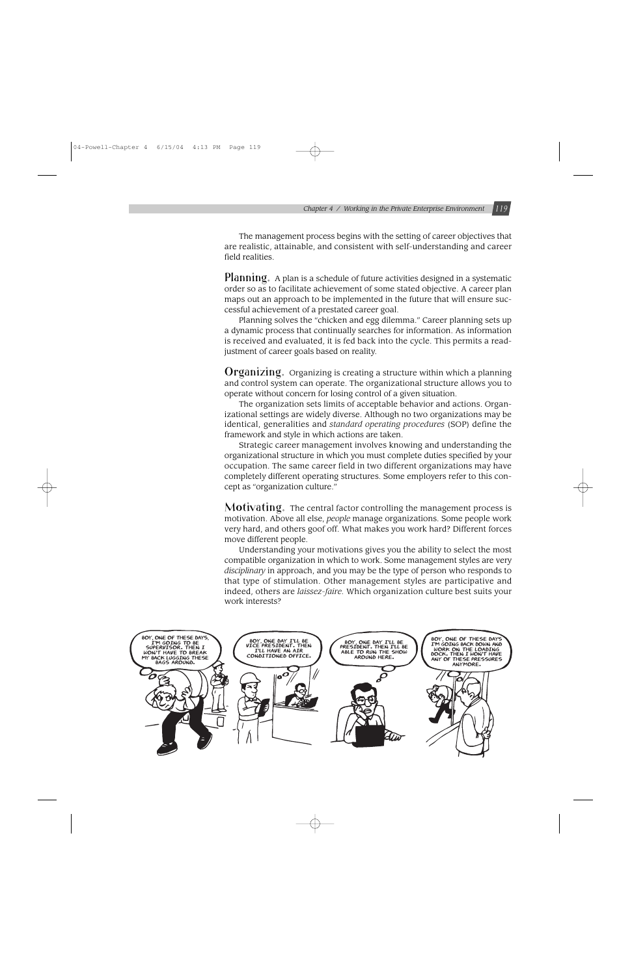The management process begins with the setting of career objectives that are realistic, attainable, and consistent with self-understanding and career field realities.

Planning. A plan is a schedule of future activities designed in a systematic order so as to facilitate achievement of some stated objective. A career plan maps out an approach to be implemented in the future that will ensure successful achievement of a prestated career goal.

**Organizing.** Organizing is creating a structure within which a planning and control system can operate. The organizational structure allows you to operate without concern for losing control of a given situation.

Planning solves the "chicken and egg dilemma." Career planning sets up a dynamic process that continually searches for information. As information is received and evaluated, it is fed back into the cycle. This permits a readjustment of career goals based on reality.

The organization sets limits of acceptable behavior and actions. Organizational settings are widely diverse. Although no two organizations may be identical, generalities and *standard operating procedures* (SOP) define the framework and style in which actions are taken.

Strategic career management involves knowing and understanding the organizational structure in which you must complete duties specified by your occupation. The same career field in two different organizations may have completely different operating structures. Some employers refer to this concept as "organization culture."

Motivating. The central factor controlling the management process is motivation. Above all else, *people* manage organizations. Some people work very hard, and others goof off. What makes you work hard? Different forces move different people.

Understanding your motivations gives you the ability to select the most compatible organization in which to work. Some management styles are very *disciplinary* in approach, and you may be the type of person who responds to that type of stimulation. Other management styles are participative and indeed, others are *laissez-faire.* Which organization culture best suits your work interests?

#### *Chapter 4 / Working in the Private Enterprise Environment* 119

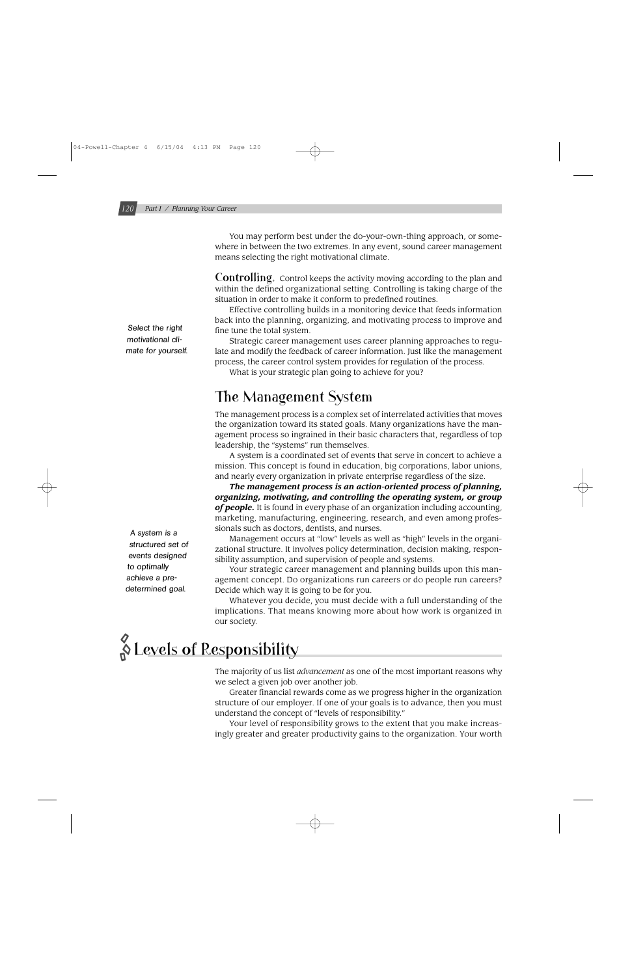You may perform best under the do-your-own-thing approach, or somewhere in between the two extremes. In any event, sound career management means selecting the right motivational climate.

Controlling. Control keeps the activity moving according to the plan and within the defined organizational setting. Controlling is taking charge of the situation in order to make it conform to predefined routines.

Effective controlling builds in a monitoring device that feeds information back into the planning, organizing, and motivating process to improve and fine tune the total system.

Strategic career management uses career planning approaches to regulate and modify the feedback of career information. Just like the management process, the career control system provides for regulation of the process.

What is your strategic plan going to achieve for you?

### The Management System

The management process is a complex set of interrelated activities that moves the organization toward its stated goals. Many organizations have the management process so ingrained in their basic characters that, regardless of top leadership, the "systems" run themselves.

A system is a coordinated set of events that serve in concert to achieve a mission. This concept is found in education, big corporations, labor unions, and nearly every organization in private enterprise regardless of the size.

*The management process is an action-oriented process of planning, organizing, motivating, and controlling the operating system, or group of people.* It is found in every phase of an organization including accounting, marketing, manufacturing, engineering, research, and even among professionals such as doctors, dentists, and nurses.

Management occurs at "low" levels as well as "high" levels in the organizational structure. It involves policy determination, decision making, responsibility assumption, and supervision of people and systems.

Your strategic career management and planning builds upon this management concept. Do organizations run careers or do people run careers? Decide which way it is going to be for you.

Whatever you decide, you must decide with a full understanding of the implications. That means knowing more about how work is organized in our society.

# **Calevels of Responsibility**

The majority of us list *advancement* as one of the most important reasons why we select a given job over another job.

Greater financial rewards come as we progress higher in the organization structure of our employer. If one of your goals is to advance, then you must understand the concept of "levels of responsibility."

Your level of responsibility grows to the extent that you make increasingly greater and greater productivity gains to the organization. Your worth



Select the right motivational climate for yourself.

A system is a structured set of events designed to optimally achieve a predetermined goal.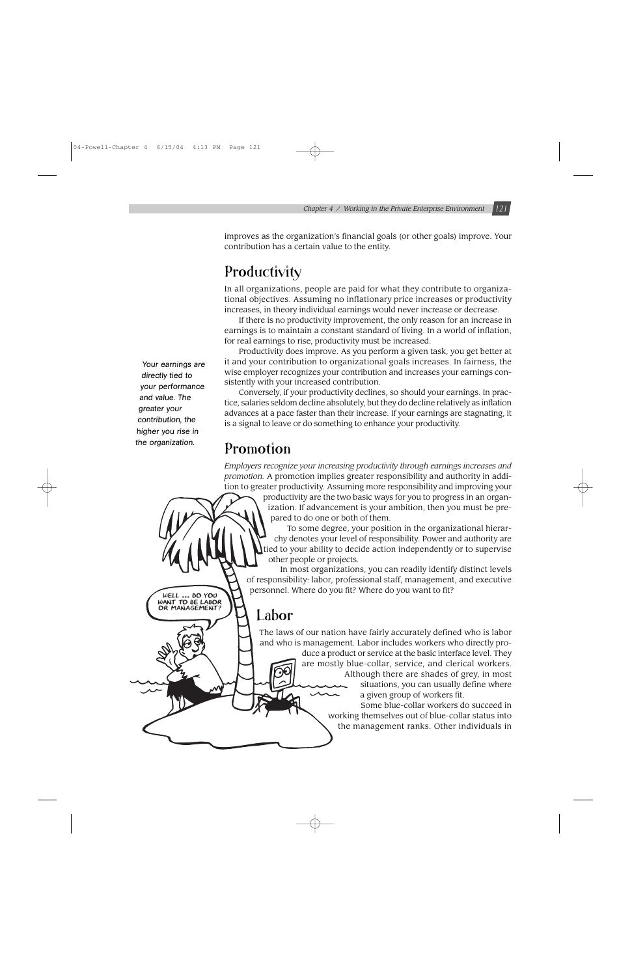improves as the organization's financial goals (or other goals) improve. Your contribution has a certain value to the entity.

### **Productivity**

In all organizations, people are paid for what they contribute to organizational objectives. Assuming no inflationary price increases or productivity increases, in theory individual earnings would never increase or decrease.

If there is no productivity improvement, the only reason for an increase in earnings is to maintain a constant standard of living. In a world of inflation, for real earnings to rise, productivity must be increased.

Productivity does improve. As you perform a given task, you get better at it and your contribution to organizational goals increases. In fairness, the wise employer recognizes your contribution and increases your earnings consistently with your increased contribution.

Conversely, if your productivity declines, so should your earnings. In practice, salaries seldom decline absolutely, but they do decline relatively as inflation advances at a pace faster than their increase. If your earnings are stagnating, it is a signal to leave or do something to enhance your productivity.

## Promotion

*Employers recognize your increasing productivity through earnings increases and promotion.* A promotion implies greater responsibility and authority in addition to greater productivity. Assuming more responsibility and improving your

productivity are the two basic ways for you to progress in an organization. If advancement is your ambition, then you must be prepared to do one or both of them.

To some degree, your position in the organizational hierarchy denotes your level of responsibility. Power and authority are tied to your ability to decide action independently or to supervise other people or projects.

In most organizations, you can readily identify distinct levels of responsibility: labor, professional staff, management, and executive personnel. Where do you fit? Where do you want to fit?

### Labor

The laws of our nation have fairly accurately defined who is labor and who is management. Labor includes workers who directly produce a product or service at the basic interface level. They are mostly blue-collar, service, and clerical workers. Although there are shades of grey, in most

situations, you can usually define where a given group of workers fit.

Some blue-collar workers do succeed in working themselves out of blue-collar status into the management ranks. Other individuals in

#### *Chapter 4 / Working in the Private Enterprise Environment* 121

well ... do you want to be labor or management?



Your earnings are directly tied to your performance and value. The greater your contribution, the higher you rise in the organization.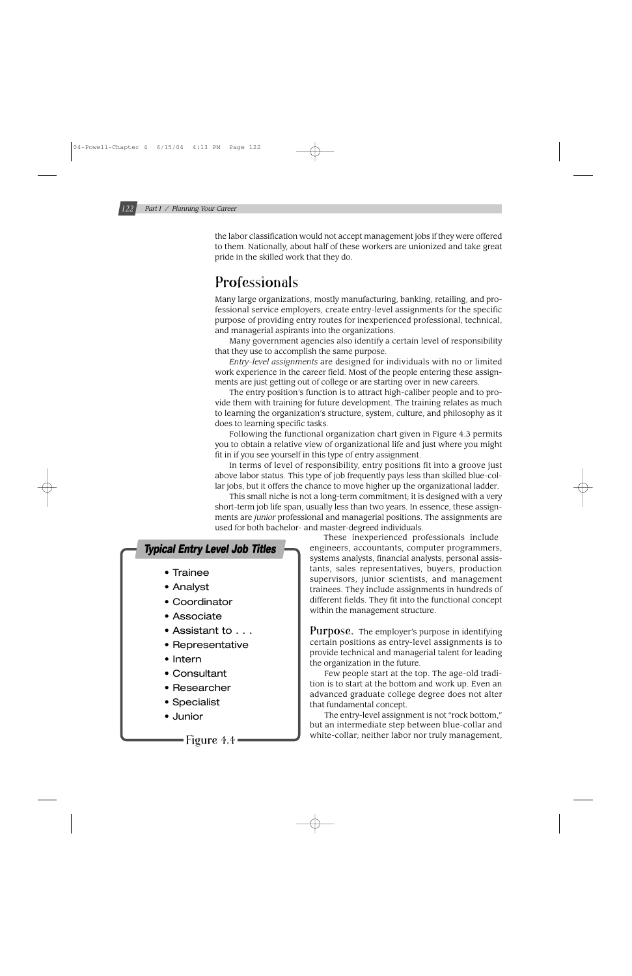the labor classification would not accept management jobs if they were offered to them. Nationally, about half of these workers are unionized and take great pride in the skilled work that they do.

## Professionals

Many large organizations, mostly manufacturing, banking, retailing, and professional service employers, create entry-level assignments for the specific purpose of providing entry routes for inexperienced professional, technical, and managerial aspirants into the organizations.

Many government agencies also identify a certain level of responsibility that they use to accomplish the same purpose.

*Entry-level assignments* are designed for individuals with no or limited work experience in the career field. Most of the people entering these assignments are just getting out of college or are starting over in new careers.

The entry position's function is to attract high-caliber people and to provide them with training for future development. The training relates as much to learning the organization's structure, system, culture, and philosophy as it does to learning specific tasks.

Following the functional organization chart given in Figure 4.3 permits you to obtain a relative view of organizational life and just where you might fit in if you see yourself in this type of entry assignment.

In terms of level of responsibility, entry positions fit into a groove just above labor status. This type of job frequently pays less than skilled blue-collar jobs, but it offers the chance to move higher up the organizational ladder.

This small niche is not a long-term commitment; it is designed with a very short-term job life span, usually less than two years. In essence, these assignments are *junior* professional and managerial positions. The assignments are used for both bachelor- and master-degreed individuals.

> These inexperienced professionals include engineers, accountants, computer programmers, systems analysts, financial analysts, personal assistants, sales representatives, buyers, production supervisors, junior scientists, and management trainees. They include assignments in hundreds of different fields. They fit into the functional concept within the management structure.

> Purpose. The employer's purpose in identifying certain positions as entry-level assignments is to provide technical and managerial talent for leading the organization in the future.

> Few people start at the top. The age-old tradition is to start at the bottom and work up. Even an advanced graduate college degree does not alter that fundamental concept.

The entry-level assignment is not "rock bottom," but an intermediate step between blue-collar and white-collar; neither labor nor truly management,





### **Typical Entry Level Job Titles**

- Trainee
- Analyst
- Coordinator
- Associate
- Assistant to . . .
- Representative
- Intern
- Consultant
- Researcher
- Specialist
- Junior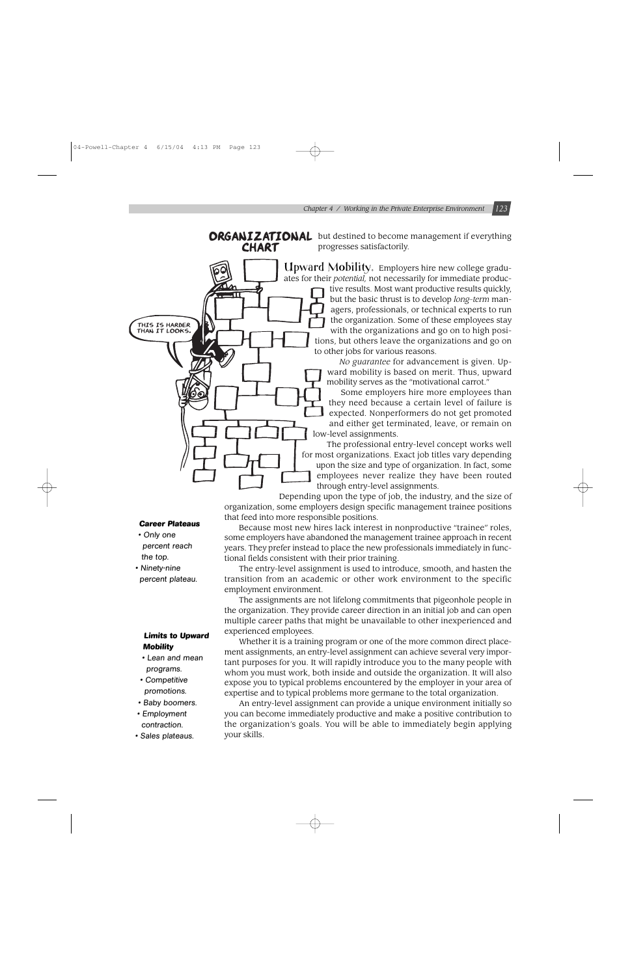ORGANIZATIONAL but destined to become management if everything progresses satisfactorily.

> Upward Mobility. Employers hire new college graduates for their *potential,* not necessarily for immediate productive results. Most want productive results quickly, but the basic thrust is to develop *long-term* managers, professionals, or technical experts to run the organization. Some of these employees stay with the organizations and go on to high positions, but others leave the organizations and go on to other jobs for various reasons.

> > *No guarantee* for advancement is given. Upward mobility is based on merit. Thus, upward mobility serves as the "motivational carrot."

Some employers hire more employees than they need because a certain level of failure is expected. Nonperformers do not get promoted and either get terminated, leave, or remain on low-level assignments.

The professional entry-level concept works well for most organizations. Exact job titles vary depending upon the size and type of organization. In fact, some employees never realize they have been routed through entry-level assignments.

Depending upon the type of job, the industry, and the size of organization, some employers design specific management trainee positions that feed into more responsible positions.

**CHART** this is harder than it looks.

> Because most new hires lack interest in nonproductive "trainee" roles, some employers have abandoned the management trainee approach in recent years. They prefer instead to place the new professionals immediately in functional fields consistent with their prior training.

> The entry-level assignment is used to introduce, smooth, and hasten the transition from an academic or other work environment to the specific employment environment.

> The assignments are not lifelong commitments that pigeonhole people in the organization. They provide career direction in an initial job and can open multiple career paths that might be unavailable to other inexperienced and experienced employees.

> Whether it is a training program or one of the more common direct placement assignments, an entry-level assignment can achieve several very important purposes for you. It will rapidly introduce you to the many people with whom you must work, both inside and outside the organization. It will also expose you to typical problems encountered by the employer in your area of expertise and to typical problems more germane to the total organization.

#### *Chapter 4 / Working in the Private Enterprise Environment* 123

An entry-level assignment can provide a unique environment initially so you can become immediately productive and make a positive contribution to the organization's goals. You will be able to immediately begin applying your skills. contraction. • Sales plateaus.

#### **Career Plateaus**

- Only one percent reach
- the top.
- Ninety-nine percent plateau.

### **Limits to Upward Mobility**

- Lean and mean programs.
- Competitive
- promotions. • Baby boomers.
- 
- Employment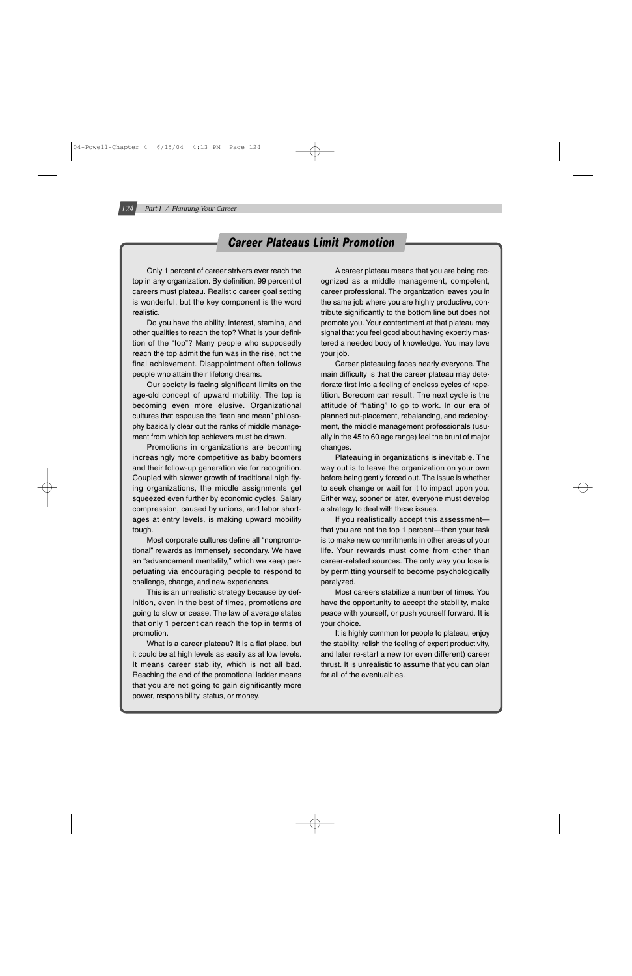Only 1 percent of career strivers ever reach the top in any organization. By definition, 99 percent of careers must plateau. Realistic career goal setting is wonderful, but the key component is the word realistic.

Do you have the ability, interest, stamina, and other qualities to reach the top? What is your definition of the "top"? Many people who supposedly reach the top admit the fun was in the rise, not the final achievement. Disappointment often follows people who attain their lifelong dreams.

Our society is facing significant limits on the age-old concept of upward mobility. The top is becoming even more elusive. Organizational cultures that espouse the "lean and mean" philosophy basically clear out the ranks of middle management from which top achievers must be drawn.

Promotions in organizations are becoming increasingly more competitive as baby boomers and their follow-up generation vie for recognition. Coupled with slower growth of traditional high flying organizations, the middle assignments get squeezed even further by economic cycles. Salary compression, caused by unions, and labor shortages at entry levels, is making upward mobility tough.

Most corporate cultures define all "nonpromotional" rewards as immensely secondary. We have an "advancement mentality," which we keep perpetuating via encouraging people to respond to challenge, change, and new experiences.

This is an unrealistic strategy because by definition, even in the best of times, promotions are going to slow or cease. The law of average states that only 1 percent can reach the top in terms of promotion.

What is a career plateau? It is a flat place, but it could be at high levels as easily as at low levels. It means career stability, which is not all bad. Reaching the end of the promotional ladder means that you are not going to gain significantly more power, responsibility, status, or money.

A career plateau means that you are being recognized as a middle management, competent, career professional. The organization leaves you in the same job where you are highly productive, contribute significantly to the bottom line but does not promote you. Your contentment at that plateau may signal that you feel good about having expertly mastered a needed body of knowledge. You may love your job.

Career plateauing faces nearly everyone. The main difficulty is that the career plateau may deteriorate first into a feeling of endless cycles of repetition. Boredom can result. The next cycle is the attitude of "hating" to go to work. In our era of planned out-placement, rebalancing, and redeployment, the middle management professionals (usually in the 45 to 60 age range) feel the brunt of major changes.

Plateauing in organizations is inevitable. The way out is to leave the organization on your own before being gently forced out. The issue is whether to seek change or wait for it to impact upon you. Either way, sooner or later, everyone must develop a strategy to deal with these issues.

If you realistically accept this assessment that you are not the top 1 percent—then your task is to make new commitments in other areas of your life. Your rewards must come from other than career-related sources. The only way you lose is by permitting yourself to become psychologically paralyzed.

Most careers stabilize a number of times. You have the opportunity to accept the stability, make peace with yourself, or push yourself forward. It is your choice.

It is highly common for people to plateau, enjoy the stability, relish the feeling of expert productivity, and later re-start a new (or even different) career thrust. It is unrealistic to assume that you can plan for all of the eventualities.



### **Career Plateaus Limit Promotion**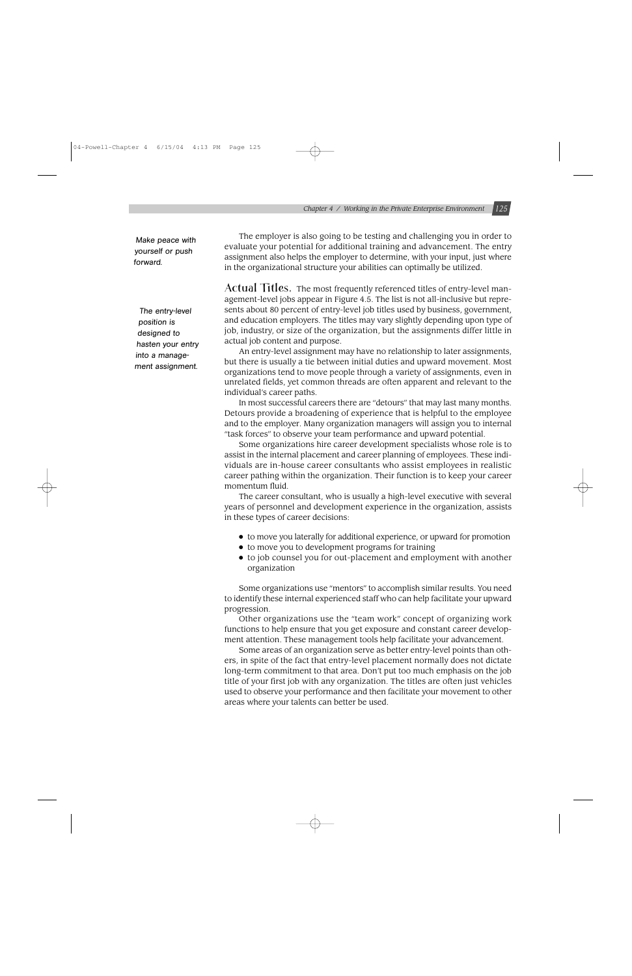The employer is also going to be testing and challenging you in order to evaluate your potential for additional training and advancement. The entry assignment also helps the employer to determine, with your input, just where in the organizational structure your abilities can optimally be utilized.

Actual Titles. The most frequently referenced titles of entry-level management-level jobs appear in Figure 4.5. The list is not all-inclusive but represents about 80 percent of entry-level job titles used by business, government, and education employers. The titles may vary slightly depending upon type of job, industry, or size of the organization, but the assignments differ little in actual job content and purpose.

An entry-level assignment may have no relationship to later assignments, but there is usually a tie between initial duties and upward movement. Most organizations tend to move people through a variety of assignments, even in unrelated fields, yet common threads are often apparent and relevant to the individual's career paths.

In most successful careers there are "detours" that may last many months. Detours provide a broadening of experience that is helpful to the employee and to the employer. Many organization managers will assign you to internal "task forces" to observe your team performance and upward potential.

Some organizations hire career development specialists whose role is to assist in the internal placement and career planning of employees. These individuals are in-house career consultants who assist employees in realistic career pathing within the organization. Their function is to keep your career momentum fluid.

The career consultant, who is usually a high-level executive with several years of personnel and development experience in the organization, assists in these types of career decisions:

- to move you laterally for additional experience, or upward for promotion
- to move you to development programs for training
- to job counsel you for out-placement and employment with another organization

Some organizations use "mentors" to accomplish similar results. You need to identify these internal experienced staff who can help facilitate your upward progression.

Other organizations use the "team work" concept of organizing work functions to help ensure that you get exposure and constant career development attention. These management tools help facilitate your advancement.

Some areas of an organization serve as better entry-level points than others, in spite of the fact that entry-level placement normally does not dictate long-term commitment to that area. Don't put too much emphasis on the job title of your first job with any organization. The titles are often just vehicles used to observe your performance and then facilitate your movement to other areas where your talents can better be used.

 $\overline{\Leftrightarrow}$ 

*Chapter 4 / Working in the Private Enterprise Environment* 125

Make peace with yourself or push forward.

The entry-level position is designed to hasten your entry into a management assignment.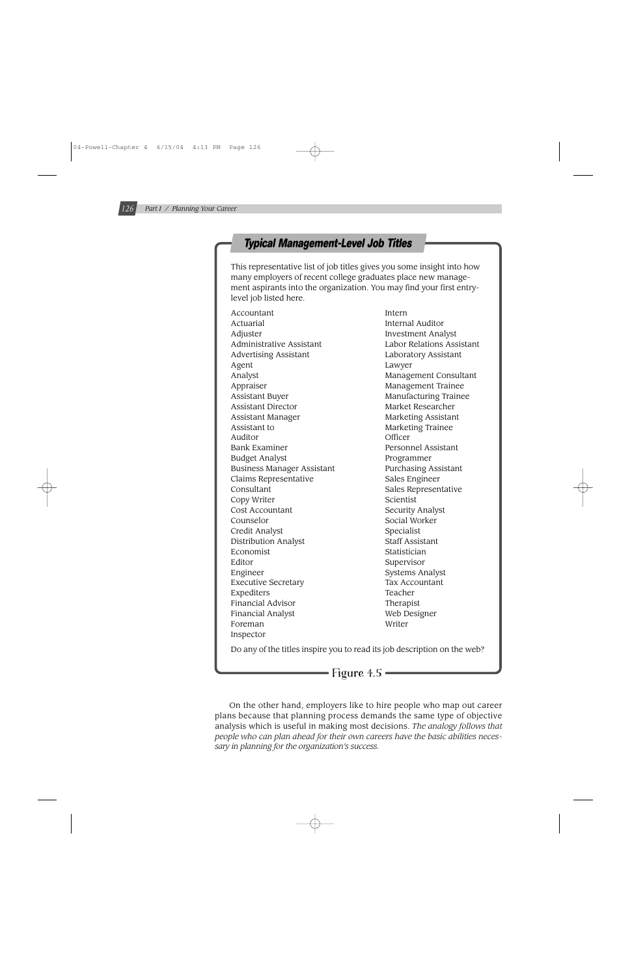On the other hand, employers like to hire people who map out career plans because that planning process demands the same type of objective analysis which is useful in making most decisions. *The analogy follows that people who can plan ahead for their own careers have the basic abilities necessary in planning for the organization's success.*

126

Figure 4.5

### **Typical Management-Level Job Titles**

This representative list of job titles gives you some insight into how many employers of recent college graduates place new management aspirants into the organization. You may find your first entrylevel job listed here.

Accountant Intern Actuarial **Internal Auditor** Adjuster **Investment Analyst** Administrative Assistant Labor Relations Assistant Advertising Assistant Laboratory Assistant Agent Lawyer Analyst Management Consultant Appraiser Management Trainee Assistant Buyer Manufacturing Trainee Assistant Director Market Researcher Assistant Manager Marketing Assistant Assistant to **Marketing Trainee** Auditor **Officer** Bank Examiner **Personnel Assistant** Budget Analyst **Programmer** Business Manager Assistant Purchasing Assistant Claims Representative Sales Engineer Consultant Consultant Sales Representative Copy Writer Scientist Cost Accountant Security Analyst Counselor Social Worker Credit Analyst Specialist Distribution Analyst Staff Assistant Economist Statistician Editor Supervisor Engineer Systems Analyst Executive Secretary Tax Accountant Expediters Teacher Financial Advisor Therapist Financial Analyst Web Designer Foreman Writer Inspector

Do any of the titles inspire you to read its job description on the web?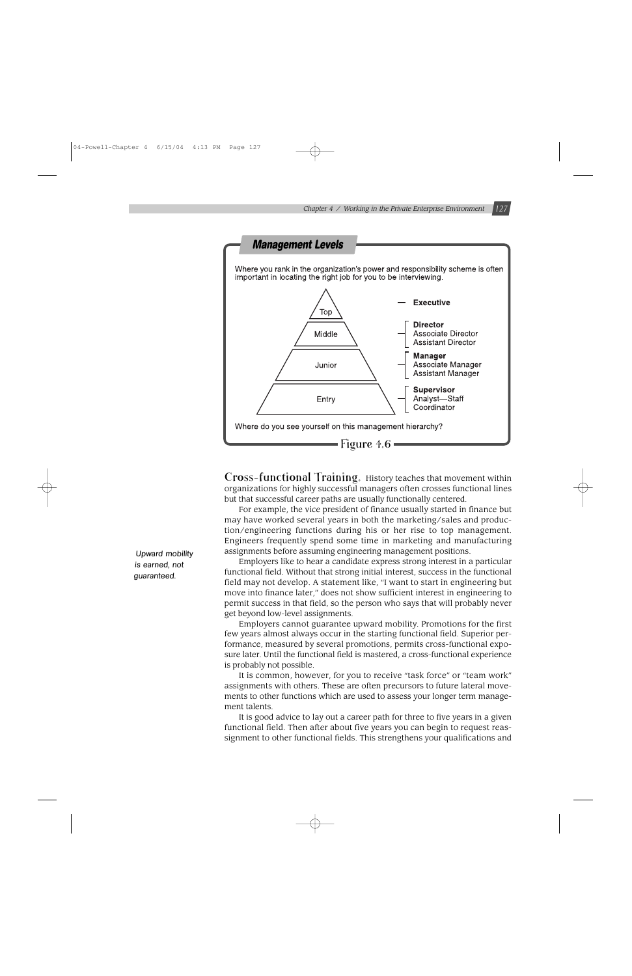Cross-functional Training. History teaches that movement within organizations for highly successful managers often crosses functional lines but that successful career paths are usually functionally centered.

For example, the vice president of finance usually started in finance but may have worked several years in both the marketing/sales and production/engineering functions during his or her rise to top management. Engineers frequently spend some time in marketing and manufacturing assignments before assuming engineering management positions.

Employers like to hear a candidate express strong interest in a particular functional field. Without that strong initial interest, success in the functional field may not develop. A statement like, "I want to start in engineering but move into finance later," does not show sufficient interest in engineering to permit success in that field, so the person who says that will probably never get beyond low-level assignments.

Employers cannot guarantee upward mobility. Promotions for the first few years almost always occur in the starting functional field. Superior performance, measured by several promotions, permits cross-functional exposure later. Until the functional field is mastered, a cross-functional experience is probably not possible.

It is common, however, for you to receive "task force" or "team work" assignments with others. These are often precursors to future lateral movements to other functions which are used to assess your longer term management talents.

It is good advice to lay out a career path for three to five years in a given functional field. Then after about five years you can begin to request reassignment to other functional fields. This strengthens your qualifications and

#### *Chapter 4 / Working in the Private Enterprise Environment* 127



Upward mobility is earned, not guaranteed.

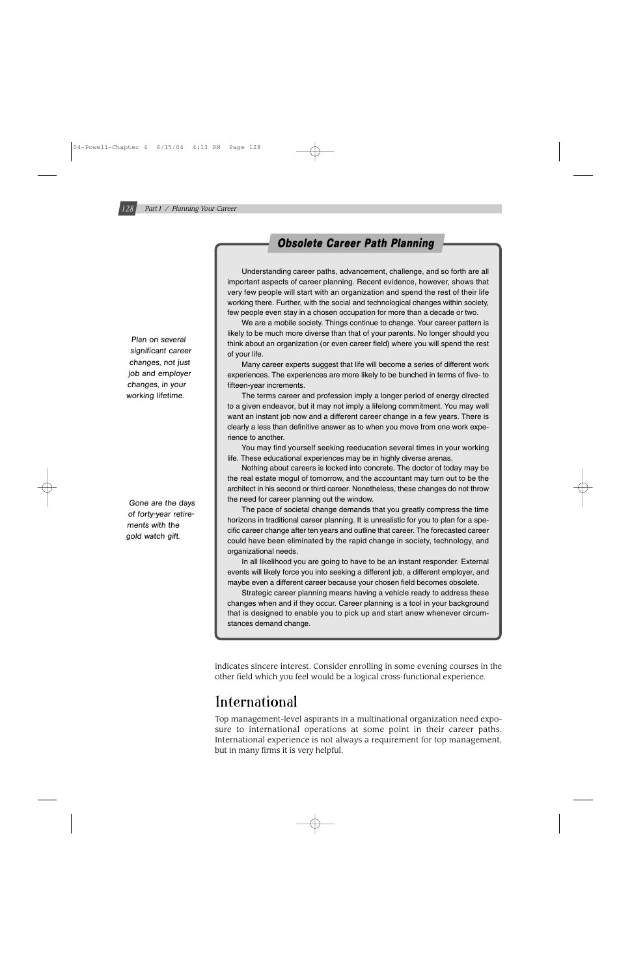indicates sincere interest. Consider enrolling in some evening courses in the other field which you feel would be a logical cross-functional experience.

### International

Top management-level aspirants in a multinational organization need exposure to international operations at some point in their career paths. International experience is not always a requirement for top management, but in many firms it is very helpful.

128

Understanding career paths, advancement, challenge, and so forth are all important aspects of career planning. Recent evidence, however, shows that very few people will start with an organization and spend the rest of their life working there. Further, with the social and technological changes within society, few people even stay in a chosen occupation for more than a decade or two.

We are a mobile society. Things continue to change. Your career pattern is likely to be much more diverse than that of your parents. No longer should you think about an organization (or even career field) where you will spend the rest of your life.

Many career experts suggest that life will become a series of different work experiences. The experiences are more likely to be bunched in terms of five- to fifteen-year increments.

The terms career and profession imply a longer period of energy directed to a given endeavor, but it may not imply a lifelong commitment. You may well want an instant job now and a different career change in a few years. There is clearly a less than definitive answer as to when you move from one work experience to another.

You may find yourself seeking reeducation several times in your working life. These educational experiences may be in highly diverse arenas.

Nothing about careers is locked into concrete. The doctor of today may be the real estate mogul of tomorrow, and the accountant may turn out to be the architect in his second or third career. Nonetheless, these changes do not throw the need for career planning out the window.

The pace of societal change demands that you greatly compress the time horizons in traditional career planning. It is unrealistic for you to plan for a specific career change after ten years and outline that career. The forecasted career could have been eliminated by the rapid change in society, technology, and organizational needs.

In all likelihood you are going to have to be an instant responder. External events will likely force you into seeking a different job, a different employer, and maybe even a different career because your chosen field becomes obsolete.

Strategic career planning means having a vehicle ready to address these changes when and if they occur. Career planning is a tool in your background that is designed to enable you to pick up and start anew whenever circumstances demand change.

### **Obsolete Career Path Planning**

Plan on several significant career changes, not just job and employer changes, in your working lifetime.

Gone are the days of forty-year retirements with the gold watch gift.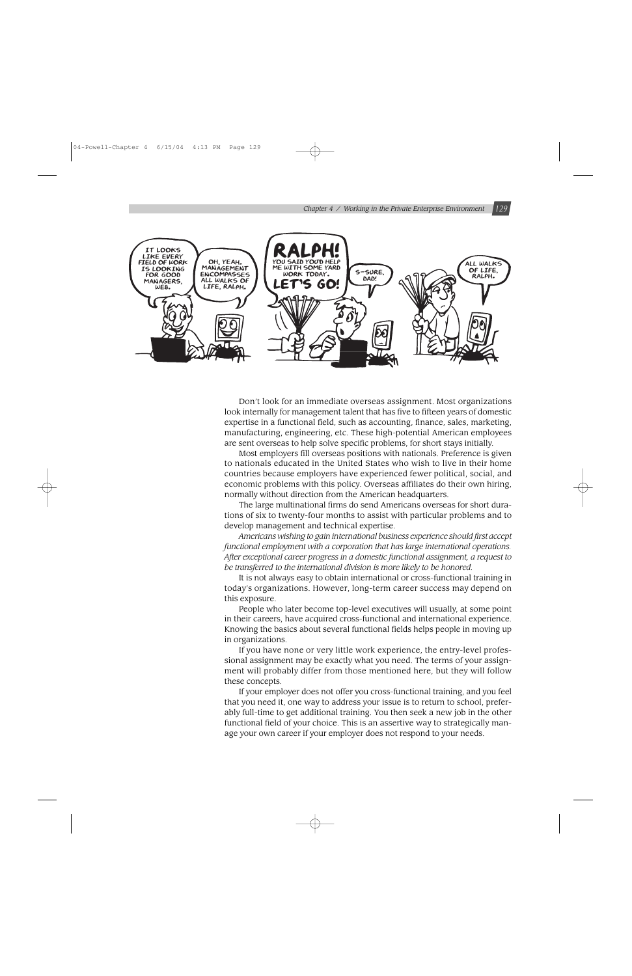Don't look for an immediate overseas assignment. Most organizations look internally for management talent that has five to fifteen years of domestic expertise in a functional field, such as accounting, finance, sales, marketing, manufacturing, engineering, etc. These high-potential American employees are sent overseas to help solve specific problems, for short stays initially.

Most employers fill overseas positions with nationals. Preference is given to nationals educated in the United States who wish to live in their home countries because employers have experienced fewer political, social, and economic problems with this policy. Overseas affiliates do their own hiring, normally without direction from the American headquarters.

The large multinational firms do send Americans overseas for short durations of six to twenty-four months to assist with particular problems and to develop management and technical expertise.

*Americans wishing to gain international business experience should first accept functional employment with a corporation that has large international operations. After exceptional career progress in a domestic functional assignment, a request to be transferred to the international division is more likely to be honored.*

It is not always easy to obtain international or cross-functional training in today's organizations. However, long-term career success may depend on this exposure.

People who later become top-level executives will usually, at some point in their careers, have acquired cross-functional and international experience. Knowing the basics about several functional fields helps people in moving up in organizations.

If you have none or very little work experience, the entry-level professional assignment may be exactly what you need. The terms of your assignment will probably differ from those mentioned here, but they will follow these concepts.

If your employer does not offer you cross-functional training, and you feel that you need it, one way to address your issue is to return to school, preferably full-time to get additional training. You then seek a new job in the other functional field of your choice. This is an assertive way to strategically manage your own career if your employer does not respond to your needs.

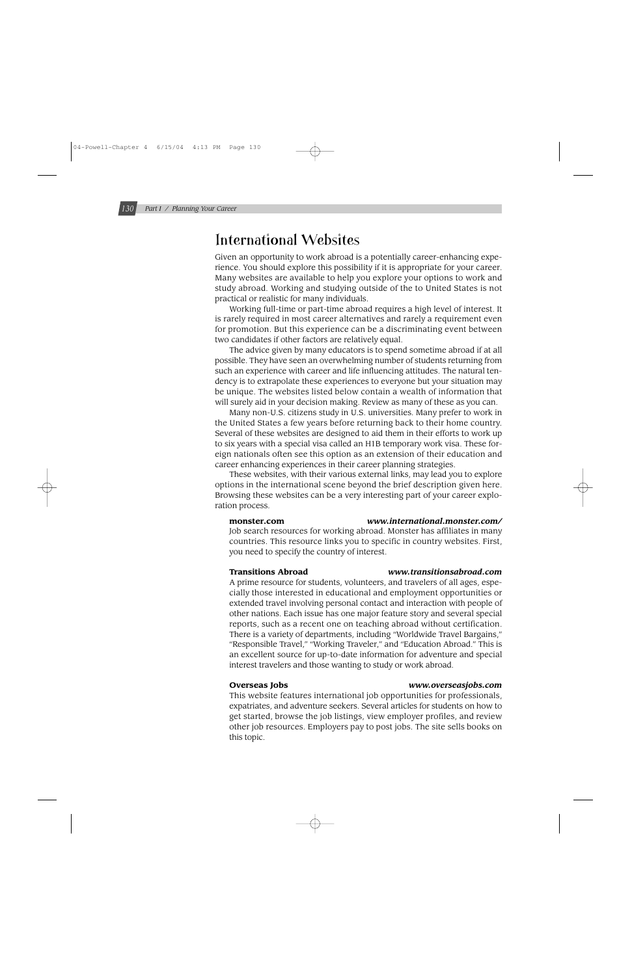### International Websites

Given an opportunity to work abroad is a potentially career-enhancing experience. You should explore this possibility if it is appropriate for your career. Many websites are available to help you explore your options to work and study abroad. Working and studying outside of the to United States is not practical or realistic for many individuals.

Working full-time or part-time abroad requires a high level of interest. It is rarely required in most career alternatives and rarely a requirement even for promotion. But this experience can be a discriminating event between two candidates if other factors are relatively equal.

The advice given by many educators is to spend sometime abroad if at all possible. They have seen an overwhelming number of students returning from such an experience with career and life influencing attitudes. The natural tendency is to extrapolate these experiences to everyone but your situation may be unique. The websites listed below contain a wealth of information that will surely aid in your decision making. Review as many of these as you can.

Many non-U.S. citizens study in U.S. universities. Many prefer to work in the United States a few years before returning back to their home country. Several of these websites are designed to aid them in their efforts to work up to six years with a special visa called an H1B temporary work visa. These foreign nationals often see this option as an extension of their education and career enhancing experiences in their career planning strategies.

These websites, with their various external links, may lead you to explore options in the international scene beyond the brief description given here. Browsing these websites can be a very interesting part of your career exploration process.

#### **monster.com** *www.international.monster.com/*

Job search resources for working abroad. Monster has affiliates in many countries. This resource links you to specific in country websites. First, you need to specify the country of interest.

#### **Transitions Abroad** *www.transitionsabroad.com*

A prime resource for students, volunteers, and travelers of all ages, especially those interested in educational and employment opportunities or extended travel involving personal contact and interaction with people of other nations. Each issue has one major feature story and several special reports, such as a recent one on teaching abroad without certification. There is a variety of departments, including "Worldwide Travel Bargains," "Responsible Travel," "Working Traveler," and "Education Abroad." This is an excellent source for up-to-date information for adventure and special interest travelers and those wanting to study or work abroad.

### **Overseas Jobs** *www.overseasjobs.com*

This website features international job opportunities for professionals, expatriates, and adventure seekers. Several articles for students on how to get started, browse the job listings, view employer profiles, and review other job resources. Employers pay to post jobs. The site sells books on this topic.

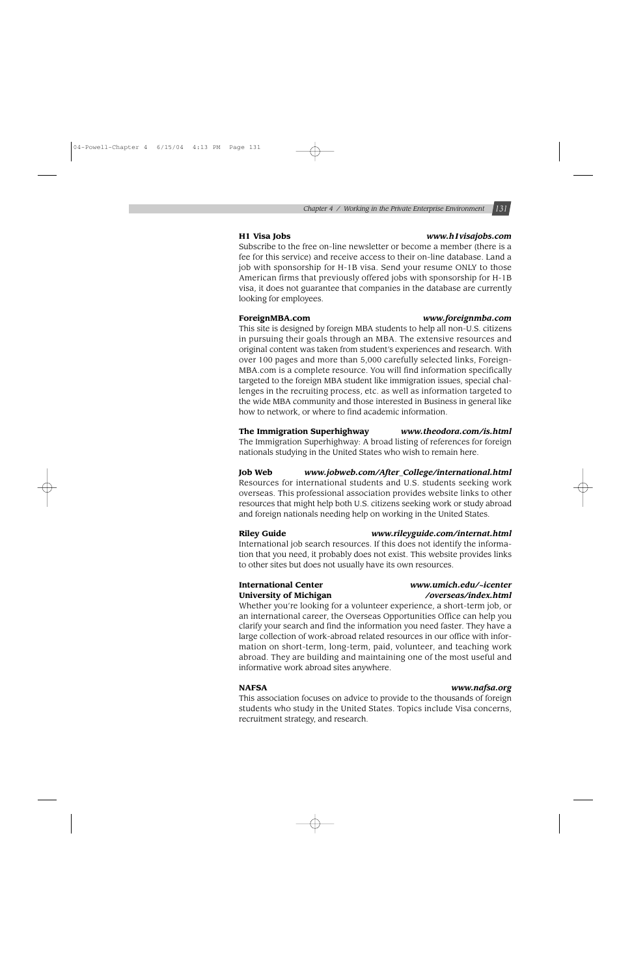#### **H1 Visa Jobs** *www.h1visajobs.com*

Subscribe to the free on-line newsletter or become a member (there is a fee for this service) and receive access to their on-line database. Land a job with sponsorship for H-1B visa. Send your resume ONLY to those American firms that previously offered jobs with sponsorship for H-1B visa, it does not guarantee that companies in the database are currently looking for employees.

#### **ForeignMBA.com** *www.foreignmba.com*

This site is designed by foreign MBA students to help all non-U.S. citizens in pursuing their goals through an MBA. The extensive resources and original content was taken from student's experiences and research. With over 100 pages and more than 5,000 carefully selected links, Foreign-MBA.com is a complete resource. You will find information specifically targeted to the foreign MBA student like immigration issues, special challenges in the recruiting process, etc. as well as information targeted to the wide MBA community and those interested in Business in general like how to network, or where to find academic information.

**The Immigration Superhighway** *www.theodora.com/is.html* The Immigration Superhighway: A broad listing of references for foreign nationals studying in the United States who wish to remain here.

**Job Web** *www.jobweb.com/After\_College/international.html* Resources for international students and U.S. students seeking work overseas. This professional association provides website links to other resources that might help both U.S. citizens seeking work or study abroad and foreign nationals needing help on working in the United States.

#### **Riley Guide** *www.rileyguide.com/internat.html*

International job search resources. If this does not identify the information that you need, it probably does not exist. This website provides links to other sites but does not usually have its own resources.

# **International Center** *www.umich.edu/~icenter*

### **University of Michigan** */overseas/index.html*

Whether you're looking for a volunteer experience, a short-term job, or an international career, the Overseas Opportunities Office can help you clarify your search and find the information you need faster. They have a large collection of work-abroad related resources in our office with information on short-term, long-term, paid, volunteer, and teaching work abroad. They are building and maintaining one of the most useful and informative work abroad sites anywhere.

#### **NAFSA** *www.nafsa.org*

This association focuses on advice to provide to the thousands of foreign students who study in the United States. Topics include Visa concerns,

recruitment strategy, and research.

#### *Chapter 4 / Working in the Private Enterprise Environment* 131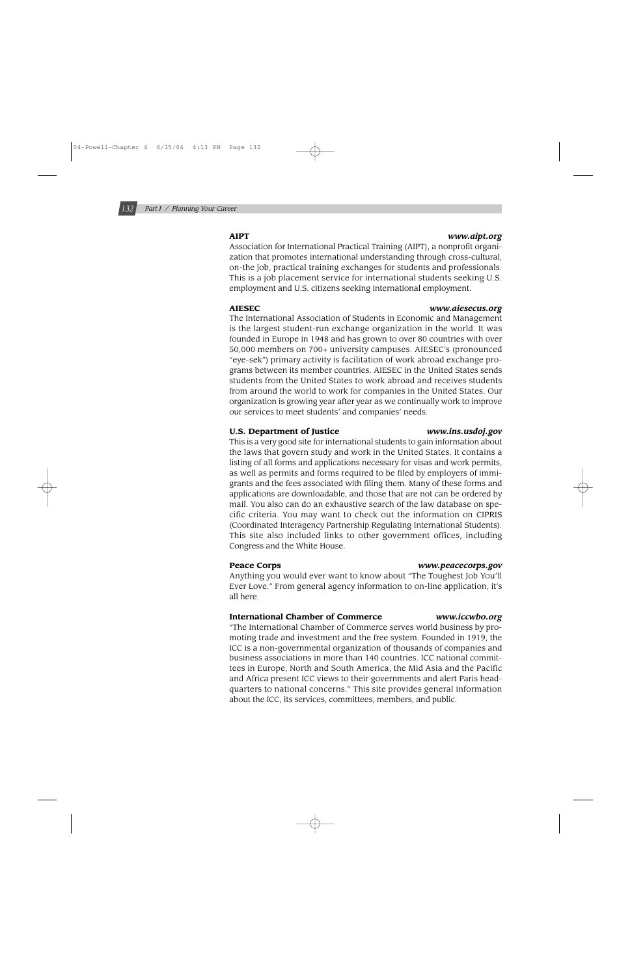#### **AIPT** *www.aipt.org*

Association for International Practical Training (AIPT), a nonprofit organization that promotes international understanding through cross-cultural, on-the job, practical training exchanges for students and professionals. This is a job placement service for international students seeking U.S. employment and U.S. citizens seeking international employment.

#### **AIESEC** *www.aiesecus.org*

The International Association of Students in Economic and Management is the largest student-run exchange organization in the world. It was founded in Europe in 1948 and has grown to over 80 countries with over 50,000 members on 700+ university campuses. AIESEC's (pronounced "eye-sek") primary activity is facilitation of work abroad exchange programs between its member countries. AIESEC in the United States sends students from the United States to work abroad and receives students from around the world to work for companies in the United States. Our organization is growing year after year as we continually work to improve our services to meet students' and companies' needs.

#### **U.S. Department of Justice** *www.ins.usdoj.gov*

This is a very good site for international students to gain information about the laws that govern study and work in the United States. It contains a listing of all forms and applications necessary for visas and work permits, as well as permits and forms required to be filed by employers of immigrants and the fees associated with filing them. Many of these forms and applications are downloadable, and those that are not can be ordered by mail. You also can do an exhaustive search of the law database on specific criteria. You may want to check out the information on CIPRIS (Coordinated Interagency Partnership Regulating International Students). This site also included links to other government offices, including Congress and the White House.

### **Peace Corps** *www.peacecorps.gov*

Anything you would ever want to know about "The Toughest Job You'll Ever Love." From general agency information to on-line application, it's all here.

### **International Chamber of Commerce** *www.iccwbo.org*

"The International Chamber of Commerce serves world business by promoting trade and investment and the free system. Founded in 1919, the ICC is a non-governmental organization of thousands of companies and business associations in more than 140 countries. ICC national committees in Europe, North and South America, the Mid Asia and the Pacific and Africa present ICC views to their governments and alert Paris headquarters to national concerns." This site provides general information about the ICC, its services, committees, members, and public.

 $\phi$ 

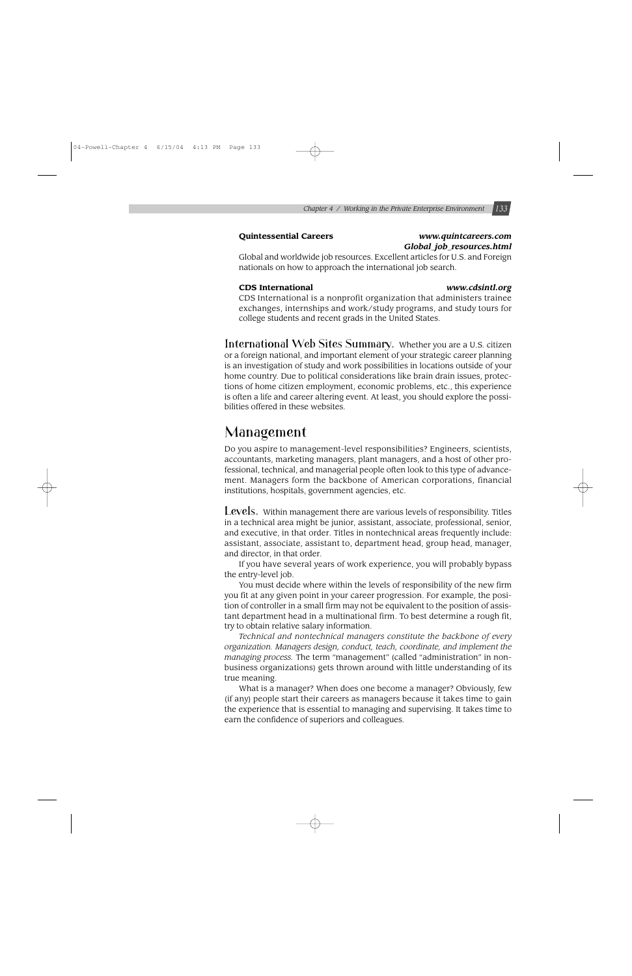#### **Quintessential Careers** *www.quintcareers.com*

# *Global\_job\_resources.html*

Global and worldwide job resources. Excellent articles for U.S. and Foreign nationals on how to approach the international job search.

#### **CDS International** *www.cdsintl.org*

CDS International is a nonprofit organization that administers trainee exchanges, internships and work/study programs, and study tours for college students and recent grads in the United States.

International Web Sites Summary. Whether you are a U.S. citizen or a foreign national, and important element of your strategic career planning is an investigation of study and work possibilities in locations outside of your home country. Due to political considerations like brain drain issues, protections of home citizen employment, economic problems, etc., this experience is often a life and career altering event. At least, you should explore the possibilities offered in these websites.

### Management

Do you aspire to management-level responsibilities? Engineers, scientists, accountants, marketing managers, plant managers, and a host of other professional, technical, and managerial people often look to this type of advancement. Managers form the backbone of American corporations, financial institutions, hospitals, government agencies, etc.

Levels. Within management there are various levels of responsibility. Titles in a technical area might be junior, assistant, associate, professional, senior, and executive, in that order. Titles in nontechnical areas frequently include: assistant, associate, assistant to, department head, group head, manager, and director, in that order.

If you have several years of work experience, you will probably bypass the entry-level job.

You must decide where within the levels of responsibility of the new firm you fit at any given point in your career progression. For example, the position of controller in a small firm may not be equivalent to the position of assistant department head in a multinational firm. To best determine a rough fit, try to obtain relative salary information.

*Technical and nontechnical managers constitute the backbone of every organization. Managers design, conduct, teach, coordinate, and implement the managing process.* The term "management" (called "administration" in nonbusiness organizations) gets thrown around with little understanding of its true meaning.

What is a manager? When does one become a manager? Obviously, few (if any) people start their careers as managers because it takes time to gain the experience that is essential to managing and supervising. It takes time to earn the confidence of superiors and colleagues.

*Chapter 4 / Working in the Private Enterprise Environment* 133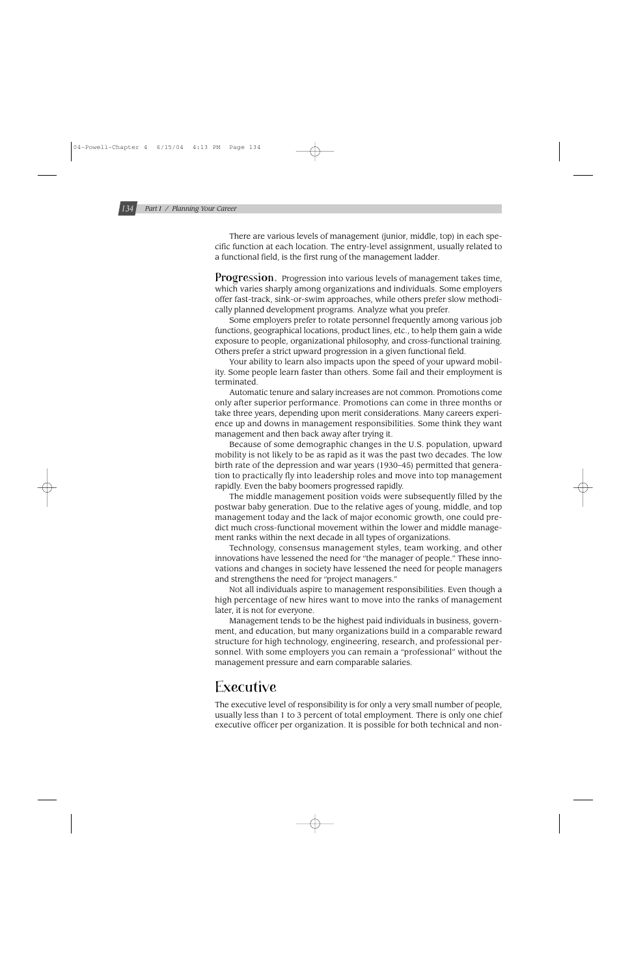There are various levels of management (junior, middle, top) in each specific function at each location. The entry-level assignment, usually related to a functional field, is the first rung of the management ladder.

**Progression.** Progression into various levels of management takes time, which varies sharply among organizations and individuals. Some employers offer fast-track, sink-or-swim approaches, while others prefer slow methodically planned development programs. Analyze what you prefer.

Some employers prefer to rotate personnel frequently among various job functions, geographical locations, product lines, etc., to help them gain a wide exposure to people, organizational philosophy, and cross-functional training. Others prefer a strict upward progression in a given functional field.

Your ability to learn also impacts upon the speed of your upward mobility. Some people learn faster than others. Some fail and their employment is terminated.

Automatic tenure and salary increases are not common. Promotions come only after superior performance. Promotions can come in three months or take three years, depending upon merit considerations. Many careers experience up and downs in management responsibilities. Some think they want management and then back away after trying it.

Because of some demographic changes in the U.S. population, upward mobility is not likely to be as rapid as it was the past two decades. The low birth rate of the depression and war years (1930–45) permitted that generation to practically fly into leadership roles and move into top management rapidly. Even the baby boomers progressed rapidly.

The middle management position voids were subsequently filled by the postwar baby generation. Due to the relative ages of young, middle, and top management today and the lack of major economic growth, one could predict much cross-functional movement within the lower and middle management ranks within the next decade in all types of organizations.

Technology, consensus management styles, team working, and other innovations have lessened the need for "the manager of people." These innovations and changes in society have lessened the need for people managers and strengthens the need for "project managers."

Not all individuals aspire to management responsibilities. Even though a high percentage of new hires want to move into the ranks of management later, it is not for everyone.

Management tends to be the highest paid individuals in business, government, and education, but many organizations build in a comparable reward structure for high technology, engineering, research, and professional personnel. With some employers you can remain a "professional" without the management pressure and earn comparable salaries.

# Executive

The executive level of responsibility is for only a very small number of people, usually less than 1 to 3 percent of total employment. There is only one chief

executive officer per organization. It is possible for both technical and non-

134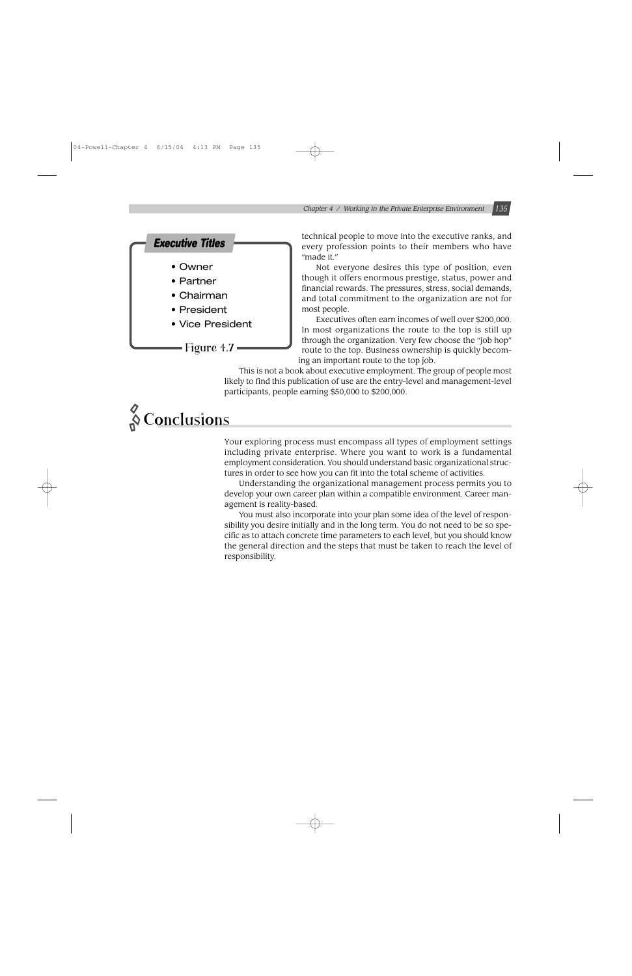technical people to move into the executive ranks, and every profession points to their members who have "made it."

Not everyone desires this type of position, even though it offers enormous prestige, status, power and financial rewards. The pressures, stress, social demands, and total commitment to the organization are not for most people.

Executives often earn incomes of well over \$200,000. In most organizations the route to the top is still up through the organization. Very few choose the "job hop" route to the top. Business ownership is quickly becoming an important route to the top job.

This is not a book about executive employment. The group of people most likely to find this publication of use are the entry-level and management-level participants, people earning \$50,000 to \$200,000.

# **Conclusions**

Your exploring process must encompass all types of employment settings including private enterprise. Where you want to work is a fundamental employment consideration. You should understand basic organizational structures in order to see how you can fit into the total scheme of activities.

Understanding the organizational management process permits you to develop your own career plan within a compatible environment. Career management is reality-based.

You must also incorporate into your plan some idea of the level of responsibility you desire initially and in the long term. You do not need to be so specific as to attach concrete time parameters to each level, but you should know the general direction and the steps that must be taken to reach the level of responsibility.

*Chapter 4 / Working in the Private Enterprise Environment* 135

 $\rightarrow$